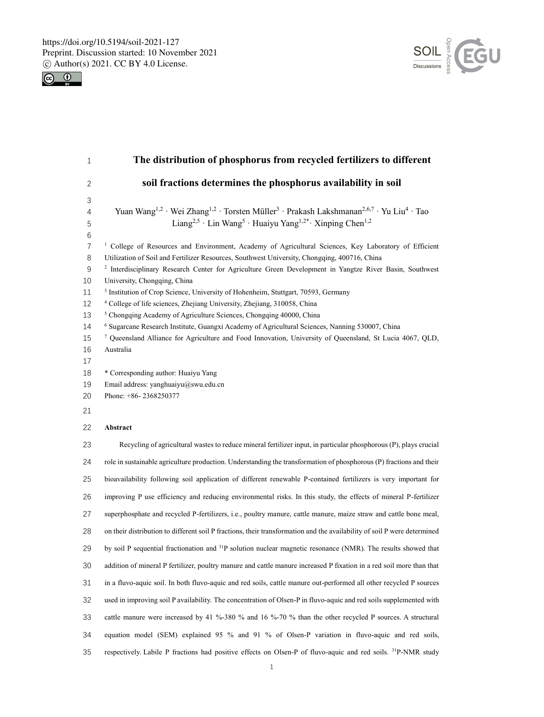



| 1                                                                                                   | The distribution of phosphorus from recycled fertilizers to different                                                                                                                                                                                                                                                                                                                                                                                                                                                                                                                                                                                                                                                                                                                                                                                                                                                                                                                          |
|-----------------------------------------------------------------------------------------------------|------------------------------------------------------------------------------------------------------------------------------------------------------------------------------------------------------------------------------------------------------------------------------------------------------------------------------------------------------------------------------------------------------------------------------------------------------------------------------------------------------------------------------------------------------------------------------------------------------------------------------------------------------------------------------------------------------------------------------------------------------------------------------------------------------------------------------------------------------------------------------------------------------------------------------------------------------------------------------------------------|
| $\mathbf{2}$                                                                                        | soil fractions determines the phosphorus availability in soil                                                                                                                                                                                                                                                                                                                                                                                                                                                                                                                                                                                                                                                                                                                                                                                                                                                                                                                                  |
| 3<br>4<br>5                                                                                         | Yuan Wang <sup>1,2</sup> · Wei Zhang <sup>1,2</sup> · Torsten Müller <sup>3</sup> · Prakash Lakshmanan <sup>2,6,7</sup> · Yu Liu <sup>4</sup> · Tao<br>Liang <sup>2,5</sup> · Lin Wang <sup>5</sup> · Huaiyu Yang <sup>1,2*</sup> · Xinping Chen <sup>1,2</sup>                                                                                                                                                                                                                                                                                                                                                                                                                                                                                                                                                                                                                                                                                                                                |
| 6<br>$\overline{7}$<br>8<br>$9\,$<br>10<br>11<br>12<br>13<br>14<br>15<br>16<br>17<br>18<br>19<br>20 | <sup>1</sup> College of Resources and Environment, Academy of Agricultural Sciences, Key Laboratory of Efficient<br>Utilization of Soil and Fertilizer Resources, Southwest University, Chongqing, 400716, China<br><sup>2</sup> Interdisciplinary Research Center for Agriculture Green Development in Yangtze River Basin, Southwest<br>University, Chongqing, China<br><sup>3</sup> Institution of Crop Science, University of Hohenheim, Stuttgart, 70593, Germany<br><sup>4</sup> College of life sciences, Zhejiang University, Zhejiang, 310058, China<br><sup>5</sup> Chongqing Academy of Agriculture Sciences, Chongqing 40000, China<br><sup>6</sup> Sugarcane Research Institute, Guangxi Academy of Agricultural Sciences, Nanning 530007, China<br>7 Queensland Alliance for Agriculture and Food Innovation, University of Queensland, St Lucia 4067, QLD,<br>Australia<br>* Corresponding author: Huaiyu Yang<br>Email address: yanghuaiyu@swu.edu.cn<br>Phone: +86-2368250377 |
| 21                                                                                                  |                                                                                                                                                                                                                                                                                                                                                                                                                                                                                                                                                                                                                                                                                                                                                                                                                                                                                                                                                                                                |
| 22                                                                                                  | Abstract                                                                                                                                                                                                                                                                                                                                                                                                                                                                                                                                                                                                                                                                                                                                                                                                                                                                                                                                                                                       |
| 23                                                                                                  | Recycling of agricultural wastes to reduce mineral fertilizer input, in particular phosphorous (P), plays crucial                                                                                                                                                                                                                                                                                                                                                                                                                                                                                                                                                                                                                                                                                                                                                                                                                                                                              |
| 24                                                                                                  | role in sustainable agriculture production. Understanding the transformation of phosphorous (P) fractions and their                                                                                                                                                                                                                                                                                                                                                                                                                                                                                                                                                                                                                                                                                                                                                                                                                                                                            |
| 25                                                                                                  | bioavailability following soil application of different renewable P-contained fertilizers is very important for                                                                                                                                                                                                                                                                                                                                                                                                                                                                                                                                                                                                                                                                                                                                                                                                                                                                                |
| 26                                                                                                  | improving P use efficiency and reducing environmental risks. In this study, the effects of mineral P-fertilizer                                                                                                                                                                                                                                                                                                                                                                                                                                                                                                                                                                                                                                                                                                                                                                                                                                                                                |
| 27                                                                                                  | superphosphate and recycled P-fertilizers, i.e., poultry manure, cattle manure, maize straw and cattle bone meal,                                                                                                                                                                                                                                                                                                                                                                                                                                                                                                                                                                                                                                                                                                                                                                                                                                                                              |
| 28                                                                                                  | on their distribution to different soil P fractions, their transformation and the availability of soil P were determined                                                                                                                                                                                                                                                                                                                                                                                                                                                                                                                                                                                                                                                                                                                                                                                                                                                                       |
| 29                                                                                                  | by soil P sequential fractionation and <sup>31</sup> P solution nuclear magnetic resonance (NMR). The results showed that                                                                                                                                                                                                                                                                                                                                                                                                                                                                                                                                                                                                                                                                                                                                                                                                                                                                      |
| $30\,$                                                                                              | addition of mineral P fertilizer, poultry manure and cattle manure increased P fixation in a red soil more than that                                                                                                                                                                                                                                                                                                                                                                                                                                                                                                                                                                                                                                                                                                                                                                                                                                                                           |
| 31                                                                                                  | in a fluvo-aquic soil. In both fluvo-aquic and red soils, cattle manure out-performed all other recycled P sources                                                                                                                                                                                                                                                                                                                                                                                                                                                                                                                                                                                                                                                                                                                                                                                                                                                                             |
| 32                                                                                                  | used in improving soil P availability. The concentration of Olsen-P in fluvo-aquic and red soils supplemented with                                                                                                                                                                                                                                                                                                                                                                                                                                                                                                                                                                                                                                                                                                                                                                                                                                                                             |
| 33                                                                                                  | cattle manure were increased by 41 %-380 % and 16 %-70 % than the other recycled P sources. A structural                                                                                                                                                                                                                                                                                                                                                                                                                                                                                                                                                                                                                                                                                                                                                                                                                                                                                       |
| 34                                                                                                  | equation model (SEM) explained 95 % and 91 % of Olsen-P variation in fluvo-aquic and red soils,                                                                                                                                                                                                                                                                                                                                                                                                                                                                                                                                                                                                                                                                                                                                                                                                                                                                                                |
| 35                                                                                                  | respectively. Labile P fractions had positive effects on Olsen-P of fluvo-aquic and red soils. <sup>31</sup> P-NMR study                                                                                                                                                                                                                                                                                                                                                                                                                                                                                                                                                                                                                                                                                                                                                                                                                                                                       |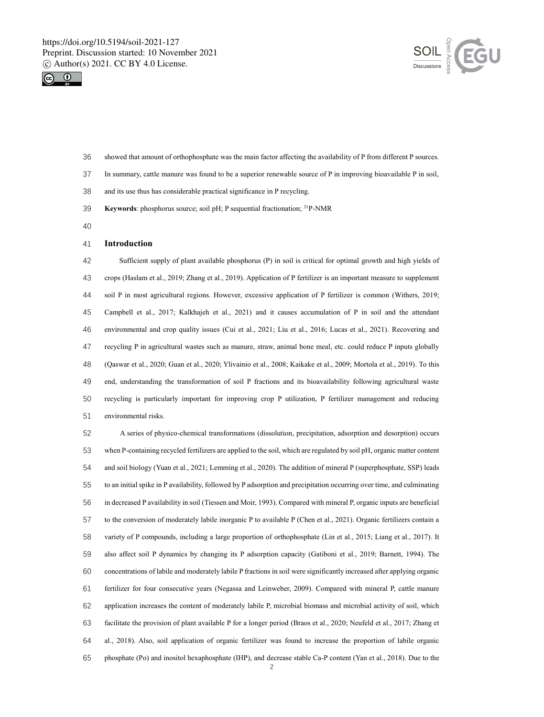



- showed that amount of orthophosphate was the main factor affecting the availability of P from different P sources.
- In summary, cattle manure was found to be a superior renewable source of P in improving bioavailable P in soil,
- and its use thus has considerable practical significance in P recycling.
- **Keywords:** phosphorus source; soil pH; P sequential fractionation; <sup>31</sup>P-NMR
- 

### **Introduction**

 Sufficient supply of plant available phosphorus (P) in soil is critical for optimal growth and high yields of crops (Haslam et al., 2019; Zhang et al., 2019). Application of P fertilizer is an important measure to supplement soil P in most agricultural regions. However, excessive application of P fertilizer is common (Withers, 2019; Campbell et al., 2017; Kalkhajeh et al., 2021) and it causes accumulation of P in soil and the attendant environmental and crop quality issues (Cui et al., 2021; Liu et al., 2016; Lucas et al., 2021). Recovering and recycling P in agricultural wastes such as manure, straw, animal bone meal, etc. could reduce P inputs globally (Qaswar et al., 2020; Guan et al., 2020; Ylivainio et al., 2008; Kaikake et al., 2009; Mortola et al., 2019). To this end, understanding the transformation of soil P fractions and its bioavailability following agricultural waste recycling is particularly important for improving crop P utilization, P fertilizer management and reducing environmental risks.

 A series of physico-chemical transformations (dissolution, precipitation, adsorption and desorption) occurs when P-containing recycled fertilizers are applied to the soil, which are regulated by soil pH, organic matter content and soil biology (Yuan et al., 2021; Lemming et al., 2020). The addition of mineral P (superphosphate, SSP) leads to an initial spike in P availability, followed by P adsorption and precipitation occurring over time, and culminating in decreased P availability in soil (Tiessen and Moir, 1993). Compared with mineral P, organic inputs are beneficial to the conversion of moderately labile inorganic P to available P (Chen et al., 2021). Organic fertilizers contain a variety of P compounds, including a large proportion of orthophosphate (Lin et al., 2015; Liang et al., 2017). It also affect soil P dynamics by changing its P adsorption capacity (Gatiboni et al., 2019; Barnett, 1994). The concentrations of labile and moderately labile P fractions in soil were significantly increased after applying organic fertilizer for four consecutive years (Negassa and Leinweber, 2009). Compared with mineral P, cattle manure application increases the content of moderately labile P, microbial biomass and microbial activity of soil, which facilitate the provision of plant available P for a longer period (Braos et al., 2020; Neufeld et al., 2017; Zhang et al., 2018). Also, soil application of organic fertilizer was found to increase the proportion of labile organic phosphate (Po) and inositol hexaphosphate (IHP), and decrease stable Ca-P content (Yan et al., 2018). Due to the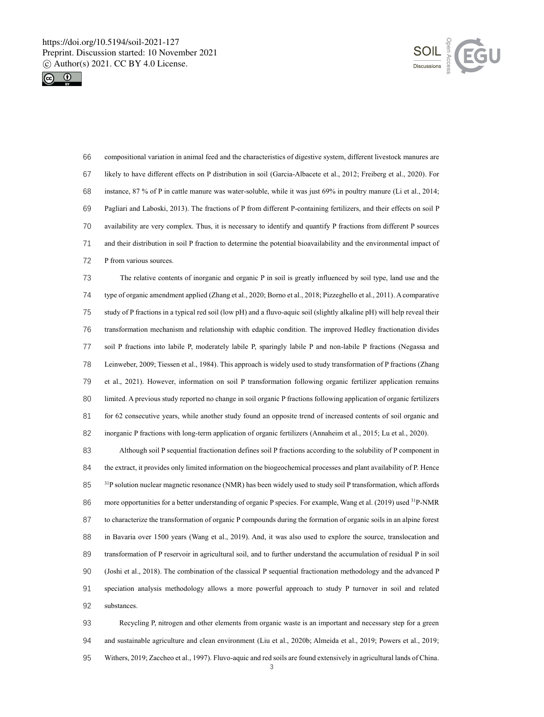



 compositional variation in animal feed and the characteristics of digestive system, different livestock manures are likely to have different effects on P distribution in soil (Garcia-Albacete et al., 2012; Freiberg et al., 2020). For instance, 87 % of P in cattle manure was water-soluble, while it was just 69% in poultry manure (Li et al., 2014; Pagliari and Laboski, 2013). The fractions of P from different P-containing fertilizers, and their effects on soil P availability are very complex. Thus, it is necessary to identify and quantify P fractions from different P sources and their distribution in soil P fraction to determine the potential bioavailability and the environmental impact of P from various sources.

 The relative contents of inorganic and organic P in soil is greatly influenced by soil type, land use and the type of organic amendment applied (Zhang et al., 2020; Borno et al., 2018; Pizzeghello et al., 2011). A comparative study of P fractions in a typical red soil (low pH) and a fluvo-aquic soil (slightly alkaline pH) will help reveal their transformation mechanism and relationship with edaphic condition. The improved Hedley fractionation divides soil P fractions into labile P, moderately labile P, sparingly labile P and non-labile P fractions (Negassa and Leinweber, 2009; Tiessen et al., 1984). This approach is widely used to study transformation of P fractions (Zhang et al., 2021). However, information on soil P transformation following organic fertilizer application remains limited. A previous study reported no change in soil organic P fractions following application of organic fertilizers for 62 consecutive years, while another study found an opposite trend of increased contents of soil organic and inorganic P fractions with long-term application of organic fertilizers (Annaheim et al., 2015; Lu et al., 2020).

 Although soil P sequential fractionation defines soil P fractions according to the solubility of P component in the extract, it provides only limited information on the biogeochemical processes and plant availability of P. Hence  $3^{1}P$  solution nuclear magnetic resonance (NMR) has been widely used to study soil P transformation, which affords 86 more opportunities for a better understanding of organic P species. For example, Wang et al. (2019) used <sup>31</sup>P-NMR to characterize the transformation of organic P compounds during the formation of organic soils in an alpine forest in Bavaria over 1500 years (Wang et al., 2019). And, it was also used to explore the source, translocation and transformation of P reservoir in agricultural soil, and to further understand the accumulation of residual P in soil (Joshi et al., 2018). The combination of the classical P sequential fractionation methodology and the advanced P speciation analysis methodology allows a more powerful approach to study P turnover in soil and related substances.

 Recycling P, nitrogen and other elements from organic waste is an important and necessary step for a green and sustainable agriculture and clean environment (Liu et al., 2020b; Almeida et al., 2019; Powers et al., 2019; Withers, 2019; Zaccheo et al., 1997). Fluvo-aquic and red soils are found extensively in agricultural lands of China.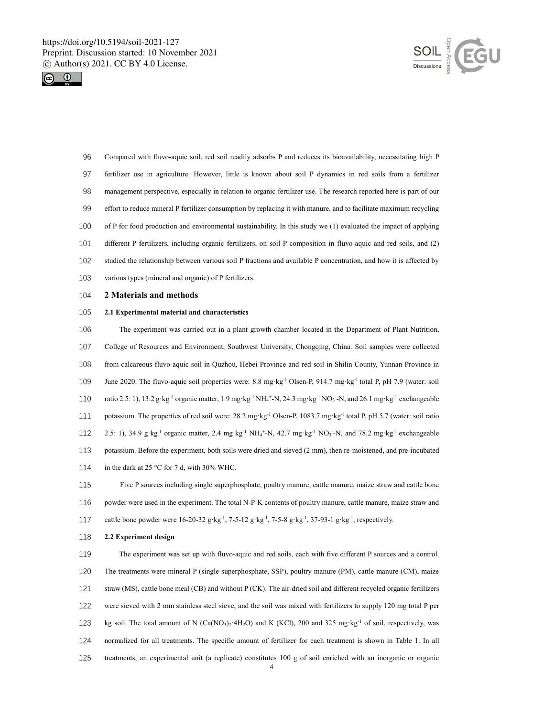



- Compared with fluvo-aquic soil, red soil readily adsorbs P and reduces its bioavailability, necessitating high P fertilizer use in agriculture. However, little is known about soil P dynamics in red soils from a fertilizer management perspective, especially in relation to organic fertilizer use. The research reported here is part of our effort to reduce mineral P fertilizer consumption by replacing it with manure, and to facilitate maximum recycling of P for food production and environmental sustainability. In this study we (1) evaluated the impact of applying different P fertilizers, including organic fertilizers, on soil P composition in fluvo-aquic and red soils, and (2) studied the relationship between various soil P fractions and available P concentration, and how it is affected by various types (mineral and organic) of P fertilizers.
- **2 Materials and methods**

#### **2.1 Experimental material and characteristics**

 The experiment was carried out in a plant growth chamber located in the Department of Plant Nutrition, College of Resources and Environment, Southwest University, Chongqing, China. Soil samples were collected from calcareous fluvo-aquic soil in Quzhou, Hebei Province and red soil in Shilin County, Yunnan Province in 109 June 2020. The fluvo-aquic soil properties were: 8.8 mg·kg<sup>-1</sup> Olsen-P, 914.7 mg·kg<sup>-1</sup> total P, pH 7.9 (water: soil 110 ratio 2.5: 1), 13.2 g·kg<sup>-1</sup> organic matter, 1.9 mg·kg<sup>-1</sup> NH<sub>4</sub><sup>+</sup>-N, 24.3 mg·kg<sup>-1</sup> NO<sub>3</sub><sup>-</sup>-N, and 26.1 mg·kg<sup>-1</sup> exchangeable 111 potassium. The properties of red soil were: 28.2 mg·kg<sup>-1</sup> Olsen-P, 1083.7 mg·kg<sup>-1</sup> total P, pH 5.7 (water: soil ratio 112 2.5: 1), 34.9 g·kg<sup>-1</sup> organic matter, 2.4 mg·kg<sup>-1</sup> NH<sub>4</sub><sup>+</sup>-N, 42.7 mg·kg<sup>-1</sup> NO<sub>3</sub><sup>-</sup>-N, and 78.2 mg·kg<sup>-1</sup> exchangeable potassium. Before the experiment, both soils were dried and sieved (2 mm), then re-moistened, and pre-incubated 114 in the dark at 25 °C for 7 d, with 30% WHC.

 Five P sources including single superphosphate, poultry manure, cattle manure, maize straw and cattle bone powder were used in the experiment. The total N-P-K contents of poultry manure, cattle manure, maize straw and 117 cattle bone powder were  $16-20-32$  g·kg<sup>-1</sup>,  $7-5-12$  g·kg<sup>-1</sup>,  $7-5-8$  g·kg<sup>-1</sup>,  $37-93-1$  g·kg<sup>-1</sup>, respectively.

#### **2.2 Experiment design**

 The experiment was set up with fluvo-aquic and red soils, each with five different P sources and a control. The treatments were mineral P (single superphosphate, SSP), poultry manure (PM), cattle manure (CM), maize straw (MS), cattle bone meal (CB) and without P (CK). The air-dried soil and different recycled organic fertilizers were sieved with 2 mm stainless steel sieve, and the soil was mixed with fertilizers to supply 120 mg total P per 123 kg soil. The total amount of N (Ca(NO3)<sub>2</sub>·4H<sub>2</sub>O) and K (KCl), 200 and 325 mg·kg<sup>-1</sup> of soil, respectively, was normalized for all treatments. The specific amount of fertilizer for each treatment is shown in Table 1. In all treatments, an experimental unit (a replicate) constitutes 100 g of soil enriched with an inorganic or organic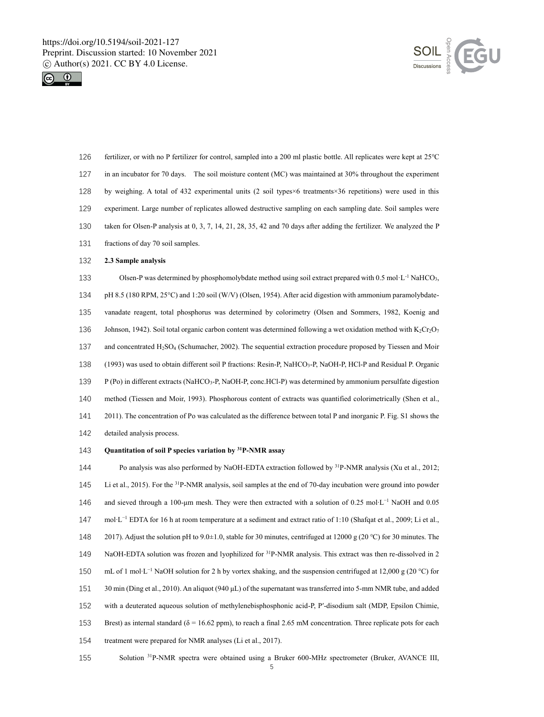



- 126 fertilizer, or with no P fertilizer for control, sampled into a 200 ml plastic bottle. All replicates were kept at 25℃ 127 in an incubator for 70 days. The soil moisture content (MC) was maintained at 30% throughout the experiment 128 by weighing. A total of 432 experimental units (2 soil types×6 treatments×36 repetitions) were used in this 129 experiment. Large number of replicates allowed destructive sampling on each sampling date. Soil samples were 130 taken for Olsen-P analysis at 0, 3, 7, 14, 21, 28, 35, 42 and 70 days after adding the fertilizer. We analyzed the P 131 fractions of day 70 soil samples.
- 132 **2.3 Sample analysis**
- 133 Olsen-P was determined by phosphomolybdate method using soil extract prepared with 0.5 mol·L<sup>-1</sup> NaHCO<sub>3</sub>, 134 pH 8.5 (180 RPM, 25°C) and 1:20 soil (W/V) (Olsen, 1954). After acid digestion with ammonium paramolybdate-135 vanadate reagent, total phosphorus was determined by colorimetry (Olsen and Sommers, 1982, Koenig and 136 Johnson, 1942). Soil total organic carbon content was determined following a wet oxidation method with  $K_2Cr_2O_7$ 137 and concentrated H2SO<sup>4</sup> (Schumacher, 2002). The sequential extraction procedure proposed by Tiessen and Moir 138 (1993) was used to obtain different soil P fractions: Resin-P, NaHCO3-P, NaOH-P, HCl-P and Residual P. Organic 139 P (Po) in different extracts (NaHCO3-P, NaOH-P, conc.HCl-P) was determined by ammonium persulfate digestion 140 method (Tiessen and Moir, 1993). Phosphorous content of extracts was quantified colorimetrically (Shen et al., 141 2011). The concentration of Po was calculated as the difference between total P and inorganic P. Fig. S1 shows the 142 detailed analysis process.
- 143 **Quantitation of soil P species variation by <sup>31</sup>P-NMR assay**

144 Po analysis was also performed by NaOH-EDTA extraction followed by <sup>31</sup>P-NMR analysis (Xu et al., 2012; 145 Li et al., 2015). For the <sup>31</sup> P-NMR analysis, soil samples at the end of 70-day incubation were ground into powder 146 and sieved through a 100-µm mesh. They were then extracted with a solution of 0.25 mol⋅L<sup>-1</sup> NaOH and 0.05 mol∙L −1 147 EDTA for 16 h at room temperature at a sediment and extract ratio of 1:10 (Shafqat et al., 2009; Li et al., 148 2017). Adjust the solution pH to 9.0±1.0, stable for 30 minutes, centrifuged at 12000 g (20 ℃) for 30 minutes. The 149 NaOH-EDTA solution was frozen and lyophilized for  ${}^{31}P$ -NMR analysis. This extract was then re-dissolved in 2 150 − mL of 1 mol⋅L<sup>-1</sup> NaOH solution for 2 h by vortex shaking, and the suspension centrifuged at 12,000 g (20 °C) for 151 30 min (Ding et al., 2010). An aliquot (940 μL) of the supernatant was transferred into 5-mm NMR tube, and added 152 with a deuterated aqueous solution of methylenebisphosphonic acid-P, P'-disodium salt (MDP, Epsilon Chimie, 153 Brest) as internal standard ( $\delta$  = 16.62 ppm), to reach a final 2.65 mM concentration. Three replicate pots for each 154 treatment were prepared for NMR analyses (Li et al., 2017).

155 Solution <sup>31</sup> P-NMR spectra were obtained using a Bruker 600-MHz spectrometer (Bruker, AVANCE III,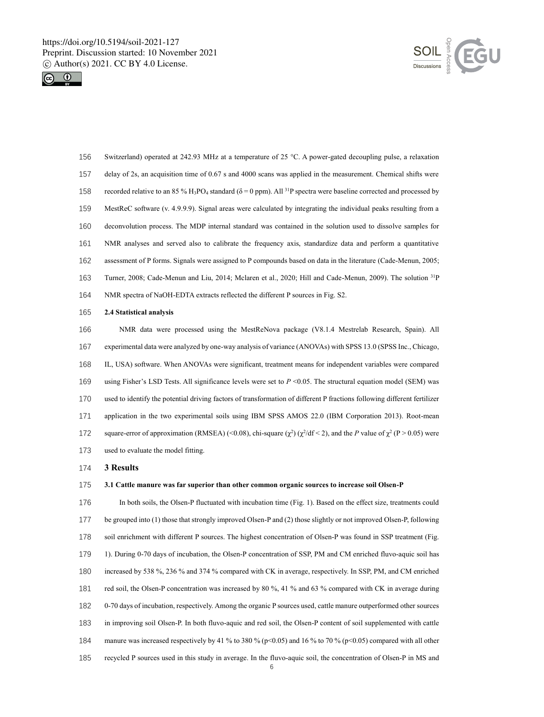



 Switzerland) operated at 242.93 MHz at a temperature of 25 °C. A power-gated decoupling pulse, a relaxation delay of 2s, an acquisition time of 0.67 s and 4000 scans was applied in the measurement. Chemical shifts were 158 recorded relative to an 85 % H<sub>3</sub>PO<sub>4</sub> standard ( $\delta$  = 0 ppm). All <sup>31</sup>P spectra were baseline corrected and processed by MestReC software (v. 4.9.9.9). Signal areas were calculated by integrating the individual peaks resulting from a deconvolution process. The MDP internal standard was contained in the solution used to dissolve samples for NMR analyses and served also to calibrate the frequency axis, standardize data and perform a quantitative assessment of P forms. Signals were assigned to P compounds based on data in the literature (Cade-Menun, 2005; 163 Turner, 2008; Cade-Menun and Liu, 2014; Mclaren et al., 2020; Hill and Cade-Menun, 2009). The solution <sup>31</sup>P NMR spectra of NaOH-EDTA extracts reflected the different P sources in Fig. S2.

### **2.4 Statistical analysis**

 NMR data were processed using the MestReNova package (V8.1.4 Mestrelab Research, Spain). All experimental data were analyzed by one-way analysis of variance (ANOVAs) with SPSS 13.0 (SPSS Inc., Chicago, IL, USA) software. When ANOVAs were significant, treatment means for independent variables were compared using Fisher's LSD Tests. All significance levels were set to *P* <0.05. The structural equation model (SEM) was used to identify the potential driving factors of transformation of different P fractions following different fertilizer application in the two experimental soils using IBM SPSS AMOS 22.0 (IBM Corporation 2013). Root-mean 172 square-error of approximation (RMSEA) (<0.08), chi-square  $(\chi^2)(\chi^2/df < 2)$ , and the *P* value of  $\chi^2$  (P > 0.05) were used to evaluate the model fitting.

#### **3 Results**

#### **3.1 Cattle manure was far superior than other common organic sources to increase soil Olsen-P**

 In both soils, the Olsen-P fluctuated with incubation time (Fig. 1). Based on the effect size, treatments could be grouped into (1) those that strongly improved Olsen-P and (2) those slightly or not improved Olsen-P, following soil enrichment with different P sources. The highest concentration of Olsen-P was found in SSP treatment (Fig. 1). During 0-70 days of incubation, the Olsen-P concentration of SSP, PM and CM enriched fluvo-aquic soil has increased by 538 %, 236 % and 374 % compared with CK in average, respectively. In SSP, PM, and CM enriched red soil, the Olsen-P concentration was increased by 80 %, 41 % and 63 % compared with CK in average during 0-70 days of incubation, respectively. Among the organic P sources used, cattle manure outperformed other sources in improving soil Olsen-P. In both fluvo-aquic and red soil, the Olsen-P content of soil supplemented with cattle 184 manure was increased respectively by 41 % to 380 % (p<0.05) and 16 % to 70 % (p<0.05) compared with all other recycled P sources used in this study in average. In the fluvo-aquic soil, the concentration of Olsen-P in MS and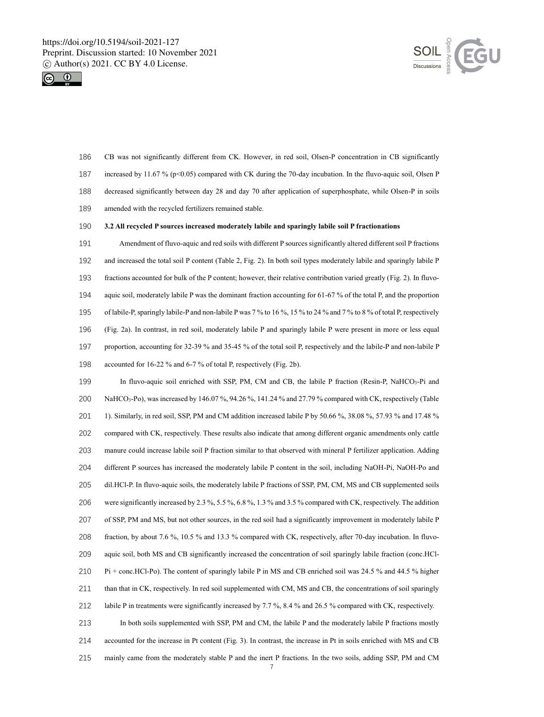



 CB was not significantly different from CK. However, in red soil, Olsen-P concentration in CB significantly increased by 11.67 % (p<0.05) compared with CK during the 70-day incubation. In the fluvo-aquic soil, Olsen P decreased significantly between day 28 and day 70 after application of superphosphate, while Olsen-P in soils amended with the recycled fertilizers remained stable.

#### **3.2 All recycled P sources increased moderately labile and sparingly labile soil P fractionations**

 Amendment of fluvo-aquic and red soils with different P sources significantly altered different soil P fractions and increased the total soil P content (Table 2, Fig. 2). In both soil types moderately labile and sparingly labile P fractions accounted for bulk of the P content; however, their relative contribution varied greatly (Fig. 2). In fluvo- aquic soil, moderately labile P was the dominant fraction accounting for 61-67 % of the total P, and the proportion of labile-P, sparingly labile-P and non-labile P was 7 % to 16 %, 15 % to 24 % and 7 % to 8 % of total P, respectively (Fig. 2a). In contrast, in red soil, moderately labile P and sparingly labile P were present in more or less equal proportion, accounting for 32-39 % and 35-45 % of the total soil P, respectively and the labile-P and non-labile P accounted for 16-22 % and 6-7 % of total P, respectively (Fig. 2b).

 In fluvo-aquic soil enriched with SSP, PM, CM and CB, the labile P fraction (Resin-P, NaHCO3-Pi and NaHCO3-Po), was increased by 146.07 %, 94.26 %, 141.24 % and 27.79 % compared with CK, respectively (Table 1). Similarly, in red soil, SSP, PM and CM addition increased labile P by 50.66 %, 38.08 %, 57.93 % and 17.48 % compared with CK, respectively. These results also indicate that among different organic amendments only cattle manure could increase labile soil P fraction similar to that observed with mineral P fertilizer application. Adding different P sources has increased the moderately labile P content in the soil, including NaOH-Pi, NaOH-Po and dil.HCl-P. In fluvo-aquic soils, the moderately labile P fractions of SSP, PM, CM, MS and CB supplemented soils were significantly increased by 2.3 %, 5.5 %, 6.8 %, 1.3 % and 3.5 % compared with CK, respectively. The addition of SSP, PM and MS, but not other sources, in the red soil had a significantly improvement in moderately labile P fraction, by about 7.6 %, 10.5 % and 13.3 % compared with CK, respectively, after 70-day incubation. In fluvo- aquic soil, both MS and CB significantly increased the concentration of soil sparingly labile fraction (conc.HCl- Pi + conc.HCl-Po). The content of sparingly labile P in MS and CB enriched soil was 24.5 % and 44.5 % higher than that in CK, respectively. In red soil supplemented with CM, MS and CB, the concentrations of soil sparingly labile P in treatments were significantly increased by 7.7 %, 8.4 % and 26.5 % compared with CK, respectively. In both soils supplemented with SSP, PM and CM, the labile P and the moderately labile P fractions mostly accounted for the increase in Pt content (Fig. 3). In contrast, the increase in Pt in soils enriched with MS and CB

mainly came from the moderately stable P and the inert P fractions. In the two soils, adding SSP, PM and CM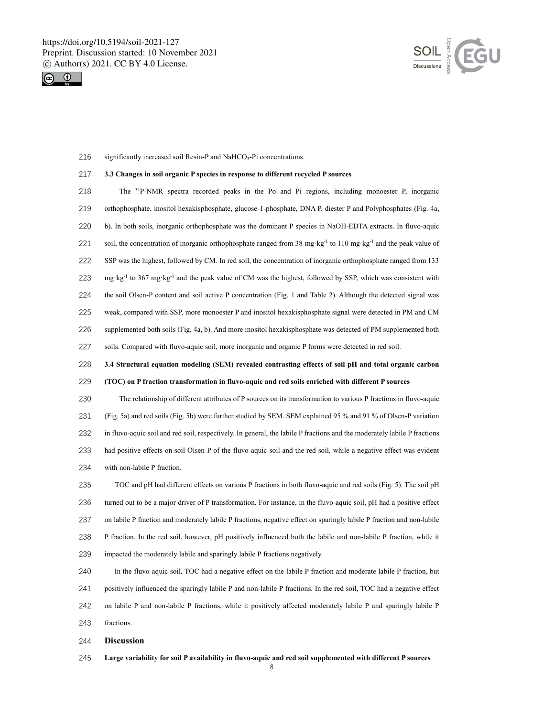



216 significantly increased soil Resin-P and NaHCO<sub>3</sub>-Pi concentrations.

#### **3.3 Changes in soil organic P species in response to different recycled P sources**

218 The  $31P-NMR$  spectra recorded peaks in the Po and Pi regions, including monoester P, inorganic orthophosphate, inositol hexakisphosphate, glucose-1-phosphate, DNA P, diester P and Polyphosphates (Fig. 4a, b). In both soils, inorganic orthophosphate was the dominant P species in NaOH-EDTA extracts. In fluvo-aquic 221 soil, the concentration of inorganic orthophosphate ranged from 38 mg·kg<sup>-1</sup> to 110 mg·kg<sup>-1</sup> and the peak value of SSP was the highest, followed by CM. In red soil, the concentration of inorganic orthophosphate ranged from 133 223 mg·kg<sup>-1</sup> to 367 mg·kg<sup>-1</sup> and the peak value of CM was the highest, followed by SSP, which was consistent with the soil Olsen-P content and soil active P concentration (Fig. 1 and Table 2). Although the detected signal was weak, compared with SSP, more monoester P and inositol hexakisphosphate signal were detected in PM and CM supplemented both soils (Fig. 4a, b). And more inositol hexakisphosphate was detected of PM supplemented both soils. Compared with fluvo-aquic soil, more inorganic and organic P forms were detected in red soil.

**3.4 Structural equation modeling (SEM) revealed contrasting effects of soil pH and total organic carbon** 

#### **(TOC) on P fraction transformation in fluvo-aquic and red soils enriched with different P sources**

 The relationship of different attributes of P sources on its transformation to various P fractions in fluvo-aquic (Fig. 5a) and red soils (Fig. 5b) were further studied by SEM. SEM explained 95 % and 91 % of Olsen-P variation in fluvo-aquic soil and red soil, respectively. In general, the labile P fractions and the moderately labile P fractions had positive effects on soil Olsen-P of the fluvo-aquic soil and the red soil, while a negative effect was evident with non-labile P fraction.

 TOC and pH had different effects on various P fractions in both fluvo-aquic and red soils (Fig. 5). The soil pH turned out to be a major driver of P transformation. For instance, in the fluvo-aquic soil, pH had a positive effect on labile P fraction and moderately labile P fractions, negative effect on sparingly labile P fraction and non-labile P fraction. In the red soil, however, pH positively influenced both the labile and non-labile P fraction, while it impacted the moderately labile and sparingly labile P fractions negatively.

 In the fluvo-aquic soil, TOC had a negative effect on the labile P fraction and moderate labile P fraction, but positively influenced the sparingly labile P and non-labile P fractions. In the red soil, TOC had a negative effect on labile P and non-labile P fractions, while it positively affected moderately labile P and sparingly labile P fractions.

**Discussion**

**Large variability for soil P availability in fluvo-aquic and red soil supplemented with different P sources**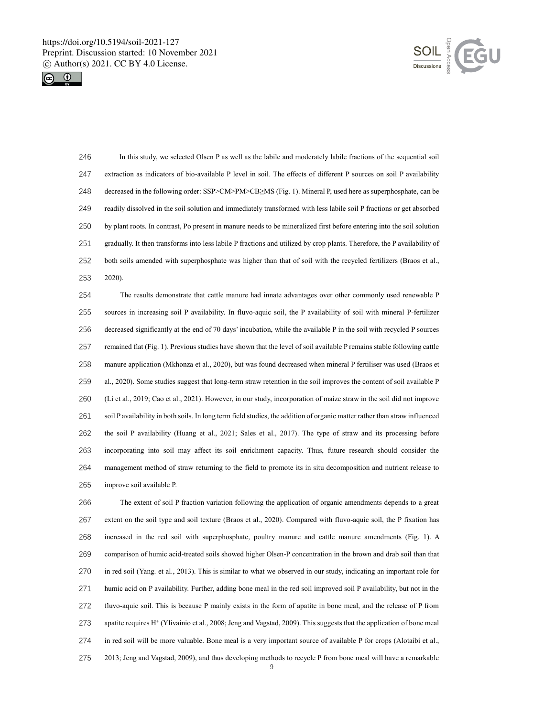



 In this study, we selected Olsen P as well as the labile and moderately labile fractions of the sequential soil extraction as indicators of bio-available P level in soil. The effects of different P sources on soil P availability decreased in the following order: SSP>CM>PM>CB≥MS (Fig. 1). Mineral P, used here as superphosphate, can be readily dissolved in the soil solution and immediately transformed with less labile soil P fractions or get absorbed by plant roots. In contrast, Po present in manure needs to be mineralized first before entering into the soil solution gradually. It then transforms into less labile P fractions and utilized by crop plants. Therefore, the P availability of both soils amended with superphosphate was higher than that of soil with the recycled fertilizers (Braos et al., 2020).

 The results demonstrate that cattle manure had innate advantages over other commonly used renewable P sources in increasing soil P availability. In fluvo-aquic soil, the P availability of soil with mineral P-fertilizer decreased significantly at the end of 70 days' incubation, while the available P in the soil with recycled P sources remained flat (Fig. 1). Previous studies have shown that the level of soil available P remains stable following cattle manure application (Mkhonza et al., 2020), but was found decreased when mineral P fertiliser was used (Braos et al., 2020). Some studies suggest that long-term straw retention in the soil improves the content of soil available P (Li et al., 2019; Cao et al., 2021). However, in our study, incorporation of maize straw in the soil did not improve soil P availability in both soils. In long term field studies, the addition of organic matter rather than straw influenced the soil P availability (Huang et al., 2021; Sales et al., 2017). The type of straw and its processing before incorporating into soil may affect its soil enrichment capacity. Thus, future research should consider the management method of straw returning to the field to promote its in situ decomposition and nutrient release to improve soil available P.

 The extent of soil P fraction variation following the application of organic amendments depends to a great extent on the soil type and soil texture (Braos et al., 2020). Compared with fluvo-aquic soil, the P fixation has increased in the red soil with superphosphate, poultry manure and cattle manure amendments (Fig. 1). A comparison of humic acid-treated soils showed higher Olsen-P concentration in the brown and drab soil than that in red soil (Yang. et al., 2013). This is similar to what we observed in our study, indicating an important role for humic acid on P availability. Further, adding bone meal in the red soil improved soil P availability, but not in the fluvo-aquic soil. This is because P mainly exists in the form of apatite in bone meal, and the release of P from 273 apatite requires H<sup>+</sup> (Ylivainio et al., 2008; Jeng and Vagstad, 2009). This suggests that the application of bone meal in red soil will be more valuable. Bone meal is a very important source of available P for crops (Alotaibi et al., 2013; Jeng and Vagstad, 2009), and thus developing methods to recycle P from bone meal will have a remarkable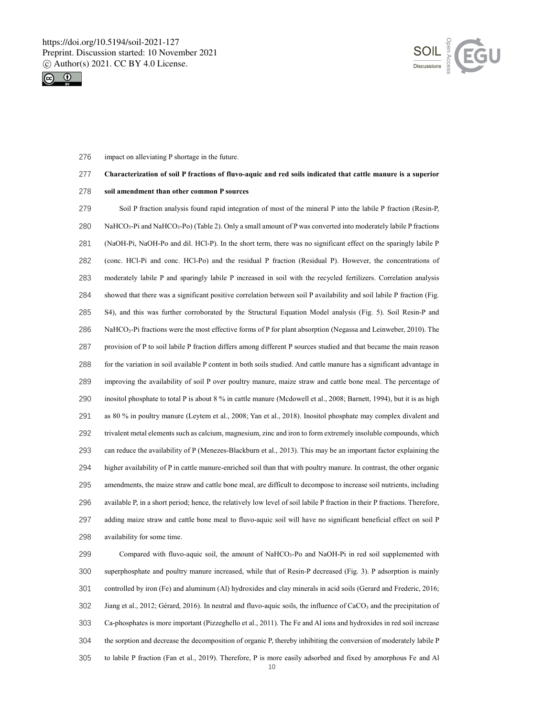



impact on alleviating P shortage in the future.

## **Characterization of soil P fractions of fluvo-aquic and red soils indicated that cattle manure is a superior**

**soil amendment than other common P sources**

 Soil P fraction analysis found rapid integration of most of the mineral P into the labile P fraction (Resin-P, 280 NaHCO<sub>3</sub>-Pi and NaHCO<sub>3</sub>-Po) (Table 2). Only a small amount of P was converted into moderately labile P fractions (NaOH-Pi, NaOH-Po and dil. HCl-P). In the short term, there was no significant effect on the sparingly labile P (conc. HCl-Pi and conc. HCl-Po) and the residual P fraction (Residual P). However, the concentrations of moderately labile P and sparingly labile P increased in soil with the recycled fertilizers. Correlation analysis showed that there was a significant positive correlation between soil P availability and soil labile P fraction (Fig. S4), and this was further corroborated by the Structural Equation Model analysis (Fig. 5). Soil Resin-P and NaHCO3-Pi fractions were the most effective forms of P for plant absorption (Negassa and Leinweber, 2010). The provision of P to soil labile P fraction differs among different P sources studied and that became the main reason for the variation in soil available P content in both soils studied. And cattle manure has a significant advantage in improving the availability of soil P over poultry manure, maize straw and cattle bone meal. The percentage of inositol phosphate to total P is about 8 % in cattle manure (Mcdowell et al., 2008; Barnett, 1994), but it is as high as 80 % in poultry manure (Leytem et al., 2008; Yan et al., 2018). Inositol phosphate may complex divalent and trivalent metal elements such as calcium, magnesium, zinc and iron to form extremely insoluble compounds, which can reduce the availability of P (Menezes-Blackburn et al., 2013). This may be an important factor explaining the higher availability of P in cattle manure-enriched soil than that with poultry manure. In contrast, the other organic amendments, the maize straw and cattle bone meal, are difficult to decompose to increase soil nutrients, including available P, in a short period; hence, the relatively low level of soil labile P fraction in their P fractions. Therefore, adding maize straw and cattle bone meal to fluvo-aquic soil will have no significant beneficial effect on soil P availability for some time.

299 Compared with fluvo-aquic soil, the amount of NaHCO<sub>3</sub>-Po and NaOH-Pi in red soil supplemented with superphosphate and poultry manure increased, while that of Resin-P decreased (Fig. 3). P adsorption is mainly controlled by iron (Fe) and aluminum (Al) hydroxides and clay minerals in acid soils (Gerard and Frederic, 2016; 302 Jiang et al., 2012; Gérard, 2016). In neutral and fluvo-aquic soils, the influence of CaCO<sub>3</sub> and the precipitation of Ca-phosphates is more important (Pizzeghello et al., 2011). The Fe and Al ions and hydroxides in red soil increase the sorption and decrease the decomposition of organic P, thereby inhibiting the conversion of moderately labile P to labile P fraction (Fan et al., 2019). Therefore, P is more easily adsorbed and fixed by amorphous Fe and Al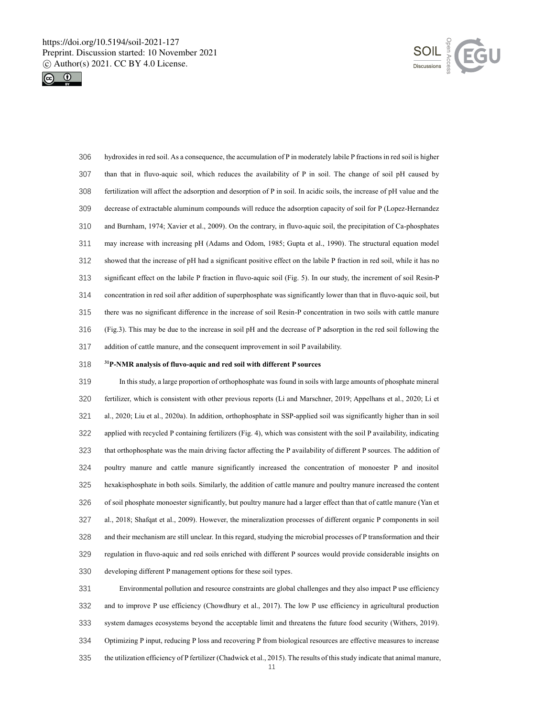



 hydroxides in red soil. As a consequence, the accumulation of P in moderately labile P fractions in red soil is higher than that in fluvo-aquic soil, which reduces the availability of P in soil. The change of soil pH caused by fertilization will affect the adsorption and desorption of P in soil. In acidic soils, the increase of pH value and the decrease of extractable aluminum compounds will reduce the adsorption capacity of soil for P (Lopez-Hernandez and Burnham, 1974; Xavier et al., 2009). On the contrary, in fluvo-aquic soil, the precipitation of Ca-phosphates may increase with increasing pH (Adams and Odom, 1985; Gupta et al., 1990). The structural equation model showed that the increase of pH had a significant positive effect on the labile P fraction in red soil, while it has no significant effect on the labile P fraction in fluvo-aquic soil (Fig. 5). In our study, the increment of soil Resin-P concentration in red soil after addition of superphosphate was significantly lower than that in fluvo-aquic soil, but there was no significant difference in the increase of soil Resin-P concentration in two soils with cattle manure (Fig.3). This may be due to the increase in soil pH and the decrease of P adsorption in the red soil following the addition of cattle manure, and the consequent improvement in soil P availability.

#### **<sup>31</sup> P-NMR analysis of fluvo-aquic and red soil with different P sources**

 In this study, a large proportion of orthophosphate was found in soils with large amounts of phosphate mineral fertilizer, which is consistent with other previous reports (Li and Marschner, 2019; Appelhans et al., 2020; Li et al., 2020; Liu et al., 2020a). In addition, orthophosphate in SSP-applied soil was significantly higher than in soil applied with recycled P containing fertilizers (Fig. 4), which was consistent with the soil P availability, indicating that orthophosphate was the main driving factor affecting the P availability of different P sources. The addition of poultry manure and cattle manure significantly increased the concentration of monoester P and inositol hexakisphosphate in both soils. Similarly, the addition of cattle manure and poultry manure increased the content of soil phosphate monoester significantly, but poultry manure had a larger effect than that of cattle manure (Yan et al., 2018; Shafqat et al., 2009). However, the mineralization processes of different organic P components in soil and their mechanism are still unclear. In this regard, studying the microbial processes of P transformation and their regulation in fluvo-aquic and red soils enriched with different P sources would provide considerable insights on developing different P management options for these soil types.

 Environmental pollution and resource constraints are global challenges and they also impact P use efficiency and to improve P use efficiency (Chowdhury et al., 2017). The low P use efficiency in agricultural production system damages ecosystems beyond the acceptable limit and threatens the future food security (Withers, 2019). Optimizing P input, reducing P loss and recovering P from biological resources are effective measures to increase the utilization efficiency of P fertilizer (Chadwick et al., 2015). The results of this study indicate that animal manure,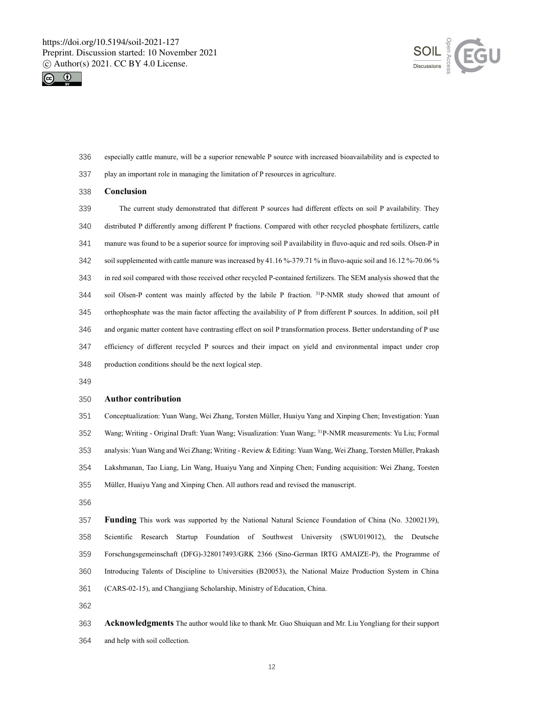



- especially cattle manure, will be a superior renewable P source with increased bioavailability and is expected to
- play an important role in managing the limitation of P resources in agriculture.
- **Conclusion**
- The current study demonstrated that different P sources had different effects on soil P availability. They distributed P differently among different P fractions. Compared with other recycled phosphate fertilizers, cattle manure was found to be a superior source for improving soil P availability in fluvo-aquic and red soils. Olsen-P in soil supplemented with cattle manure was increased by 41.16 %-379.71 % in fluvo-aquic soil and 16.12 %-70.06 % in red soil compared with those received other recycled P-contained fertilizers. The SEM analysis showed that the 344 soil Olsen-P content was mainly affected by the labile P fraction.  $31P-NMR$  study showed that amount of orthophosphate was the main factor affecting the availability of P from different P sources. In addition, soil pH and organic matter content have contrasting effect on soil P transformation process. Better understanding of P use efficiency of different recycled P sources and their impact on yield and environmental impact under crop production conditions should be the next logical step.
- 

#### **Author contribution**

 Conceptualization: Yuan Wang, Wei Zhang, Torsten Müller, Huaiyu Yang and Xinping Chen; Investigation: Yuan 352 Wang; Writing - Original Draft: Yuan Wang; Visualization: Yuan Wang; <sup>31</sup>P-NMR measurements: Yu Liu; Formal analysis: Yuan Wang and Wei Zhang; Writing - Review & Editing: Yuan Wang, Wei Zhang, Torsten Müller, Prakash Lakshmanan, Tao Liang, Lin Wang, Huaiyu Yang and Xinping Chen; Funding acquisition: Wei Zhang, Torsten Müller, Huaiyu Yang and Xinping Chen. All authors read and revised the manuscript.

 **Funding** This work was supported by the National Natural Science Foundation of China (No. 32002139), Scientific Research Startup Foundation of Southwest University (SWU019012), the Deutsche Forschungsgemeinschaft (DFG)-328017493/GRK 2366 (Sino-German IRTG AMAIZE-P), the Programme of Introducing Talents of Discipline to Universities (B20053), the National Maize Production System in China (CARS-02-15), and Changjiang Scholarship, Ministry of Education, China.

 **Acknowledgments** The author would like to thank Mr. Guo Shuiquan and Mr. Liu Yongliang for their support and help with soil collection.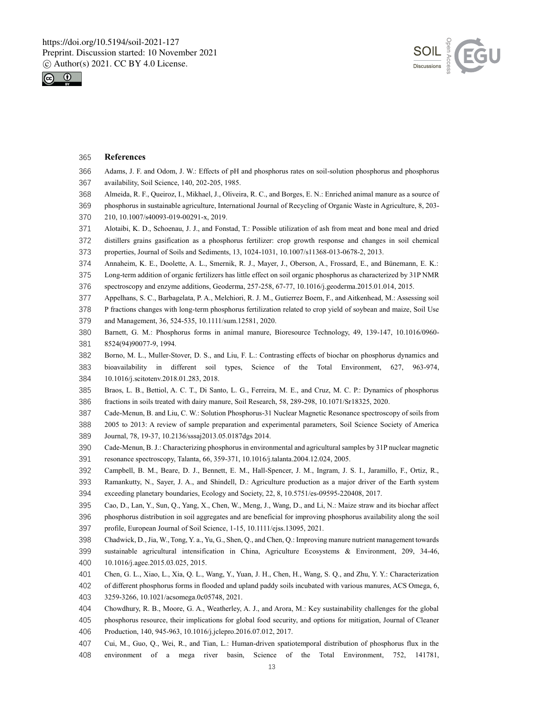



#### **References**

- Adams, J. F. and Odom, J. W.: Effects of pH and phosphorus rates on soil-solution phosphorus and phosphorus availability, Soil Science, 140, 202-205, 1985.
- Almeida, R. F., Queiroz, I., Mikhael, J., Oliveira, R. C., and Borges, E. N.: Enriched animal manure as a source of
- phosphorus in sustainable agriculture, International Journal of Recycling of Organic Waste in Agriculture, 8, 203- 210, 10.1007/s40093-019-00291-x, 2019.
- Alotaibi, K. D., Schoenau, J. J., and Fonstad, T.: Possible utilization of ash from meat and bone meal and dried
- distillers grains gasification as a phosphorus fertilizer: crop growth response and changes in soil chemical
- properties, Journal of Soils and Sediments, 13, 1024-1031, 10.1007/s11368-013-0678-2, 2013.
- Annaheim, K. E., Doolette, A. L., Smernik, R. J., Mayer, J., Oberson, A., Frossard, E., and Bünemann, E. K.:
- Long-term addition of organic fertilizers has little effect on soil organic phosphorus as characterized by 31P NMR
- spectroscopy and enzyme additions, Geoderma, 257-258, 67-77, 10.1016/j.geoderma.2015.01.014, 2015.
- Appelhans, S. C., Barbagelata, P. A., Melchiori, R. J. M., Gutierrez Boem, F., and Aitkenhead, M.: Assessing soil

 P fractions changes with long‐term phosphorus fertilization related to crop yield of soybean and maize, Soil Use and Management, 36, 524-535, 10.1111/sum.12581, 2020.

- Barnett, G. M.: Phosphorus forms in animal manure, Bioresource Technology, 49, 139-147, 10.1016/0960- 8524(94)90077-9, 1994.
- Borno, M. L., Muller-Stover, D. S., and Liu, F. L.: Contrasting effects of biochar on phosphorus dynamics and bioavailability in different soil types, Science of the Total Environment, 627, 963-974, 10.1016/j.scitotenv.2018.01.283, 2018.
- Braos, L. B., Bettiol, A. C. T., Di Santo, L. G., Ferreira, M. E., and Cruz, M. C. P.: Dynamics of phosphorus fractions in soils treated with dairy manure, Soil Research, 58, 289-298, 10.1071/Sr18325, 2020.
- Cade-Menun, B. and Liu, C. W.: Solution Phosphorus-31 Nuclear Magnetic Resonance spectroscopy of soils from
- 2005 to 2013: A review of sample preparation and experimental parameters, Soil Science Society of America Journal, 78, 19-37, 10.2136/sssaj2013.05.0187dgs 2014.
- Cade-Menun, B. J.: Characterizing phosphorus in environmental and agricultural samples by 31P nuclear magnetic resonance spectroscopy, Talanta, 66, 359-371, 10.1016/j.talanta.2004.12.024, 2005.
- Campbell, B. M., Beare, D. J., Bennett, E. M., Hall-Spencer, J. M., Ingram, J. S. I., Jaramillo, F., Ortiz, R.,
- Ramankutty, N., Sayer, J. A., and Shindell, D.: Agriculture production as a major driver of the Earth system exceeding planetary boundaries, Ecology and Society, 22, 8, 10.5751/es-09595-220408, 2017.
- Cao, D., Lan, Y., Sun, Q., Yang, X., Chen, W., Meng, J., Wang, D., and Li, N.: Maize straw and its biochar affect
- phosphorus distribution in soil aggregates and are beneficial for improving phosphorus availability along the soil
- profile, European Journal of Soil Science, 1-15, 10.1111/ejss.13095, 2021.
- Chadwick, D., Jia, W., Tong, Y. a., Yu, G., Shen, Q., and Chen, Q.: Improving manure nutrient management towards sustainable agricultural intensification in China, Agriculture Ecosystems & Environment, 209, 34-46,
- 10.1016/j.agee.2015.03.025, 2015.
- Chen, G. L., Xiao, L., Xia, Q. L., Wang, Y., Yuan, J. H., Chen, H., Wang, S. Q., and Zhu, Y. Y.: Characterization
- of different phosphorus forms in flooded and upland paddy soils incubated with various manures, ACS Omega, 6,
- 3259-3266, 10.1021/acsomega.0c05748, 2021.
- Chowdhury, R. B., Moore, G. A., Weatherley, A. J., and Arora, M.: Key sustainability challenges for the global
- phosphorus resource, their implications for global food security, and options for mitigation, Journal of Cleaner
- Production, 140, 945-963, 10.1016/j.jclepro.2016.07.012, 2017.
- Cui, M., Guo, Q., Wei, R., and Tian, L.: Human-driven spatiotemporal distribution of phosphorus flux in the
- environment of a mega river basin, Science of the Total Environment, 752, 141781,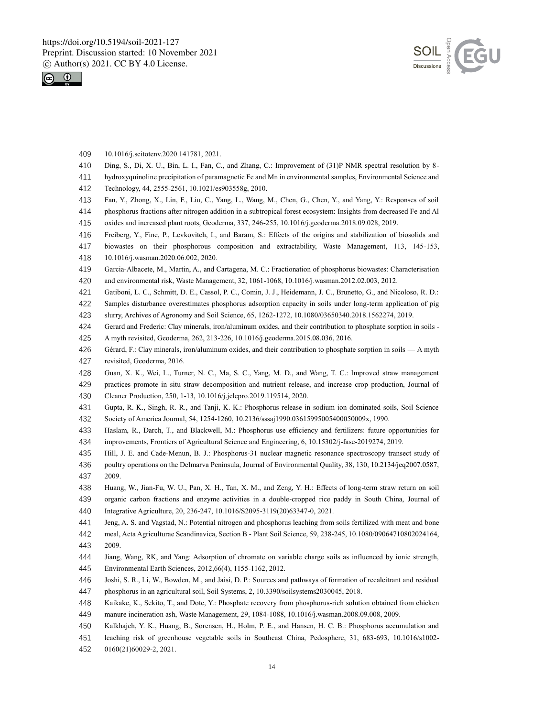



- 10.1016/j.scitotenv.2020.141781, 2021.
- Ding, S., Di, X. U., Bin, L. I., Fan, C., and Zhang, C.: Improvement of (31)P NMR spectral resolution by 8-
- hydroxyquinoline precipitation of paramagnetic Fe and Mn in environmental samples, Environmental Science and
- Technology, 44, 2555-2561, 10.1021/es903558g, 2010.
- Fan, Y., Zhong, X., Lin, F., Liu, C., Yang, L., Wang, M., Chen, G., Chen, Y., and Yang, Y.: Responses of soil
- phosphorus fractions after nitrogen addition in a subtropical forest ecosystem: Insights from decreased Fe and Al
- oxides and increased plant roots, Geoderma, 337, 246-255, 10.1016/j.geoderma.2018.09.028, 2019.
- Freiberg, Y., Fine, P., Levkovitch, I., and Baram, S.: Effects of the origins and stabilization of biosolids and
- biowastes on their phosphorous composition and extractability, Waste Management, 113, 145-153,
- 10.1016/j.wasman.2020.06.002, 2020.
- Garcia-Albacete, M., Martin, A., and Cartagena, M. C.: Fractionation of phosphorus biowastes: Characterisation
- and environmental risk, Waste Management, 32, 1061-1068, 10.1016/j.wasman.2012.02.003, 2012.
- Gatiboni, L. C., Schmitt, D. E., Cassol, P. C., Comin, J. J., Heidemann, J. C., Brunetto, G., and Nicoloso, R. D.:
- Samples disturbance overestimates phosphorus adsorption capacity in soils under long-term application of pig
- slurry, Archives of Agronomy and Soil Science, 65, 1262-1272, 10.1080/03650340.2018.1562274, 2019.
- Gerard and Frederic: Clay minerals, iron/aluminum oxides, and their contribution to phosphate sorption in soils -
- A myth revisited, Geoderma, 262, 213-226, 10.1016/j.geoderma.2015.08.036, 2016.
- Gérard, F.: Clay minerals, iron/aluminum oxides, and their contribution to phosphate sorption in soils A myth revisited, Geoderma, 2016.
- Guan, X. K., Wei, L., Turner, N. C., Ma, S. C., Yang, M. D., and Wang, T. C.: Improved straw management
- practices promote in situ straw decomposition and nutrient release, and increase crop production, Journal of Cleaner Production, 250, 1-13, 10.1016/j.jclepro.2019.119514, 2020.
- Gupta, R. K., Singh, R. R., and Tanji, K. K.: Phosphorus release in sodium ion dominated soils, Soil Science Society of America Journal, 54, 1254-1260, 10.2136/sssaj1990.03615995005400050009x, 1990.
- Haslam, R., Darch, T., and Blackwell, M.: Phosphorus use efficiency and fertilizers: future opportunities for improvements, Frontiers of Agricultural Science and Engineering, 6, 10.15302/j-fase-2019274, 2019.
- Hill, J. E. and Cade-Menun, B. J.: Phosphorus-31 nuclear magnetic resonance spectroscopy transect study of poultry operations on the Delmarva Peninsula, Journal of Environmental Quality, 38, 130, 10.2134/jeq2007.0587, 2009.
- Huang, W., Jian-Fu, W. U., Pan, X. H., Tan, X. M., and Zeng, Y. H.: Effects of long-term straw return on soil organic carbon fractions and enzyme activities in a double-cropped rice paddy in South China, Journal of Integrative Agriculture, 20, 236-247, 10.1016/S2095-3119(20)63347-0, 2021.
- Jeng, A. S. and Vagstad, N.: Potential nitrogen and phosphorus leaching from soils fertilized with meat and bone
- meal, Acta Agriculturae Scandinavica, Section B Plant Soil Science, 59, 238-245, 10.1080/09064710802024164, 2009.
- Jiang, Wang, RK, and Yang: Adsorption of chromate on variable charge soils as influenced by ionic strength, Environmental Earth Sciences, 2012,66(4), 1155-1162, 2012.
- Joshi, S. R., Li, W., Bowden, M., and Jaisi, D. P.: Sources and pathways of formation of recalcitrant and residual phosphorus in an agricultural soil, Soil Systems, 2, 10.3390/soilsystems2030045, 2018.
- Kaikake, K., Sekito, T., and Dote, Y.: Phosphate recovery from phosphorus-rich solution obtained from chicken
- manure incineration ash, Waste Management, 29, 1084-1088, 10.1016/j.wasman.2008.09.008, 2009.
- Kalkhajeh, Y. K., Huang, B., Sorensen, H., Holm, P. E., and Hansen, H. C. B.: Phosphorus accumulation and
- leaching risk of greenhouse vegetable soils in Southeast China, Pedosphere, 31, 683-693, 10.1016/s1002-
- 0160(21)60029-2, 2021.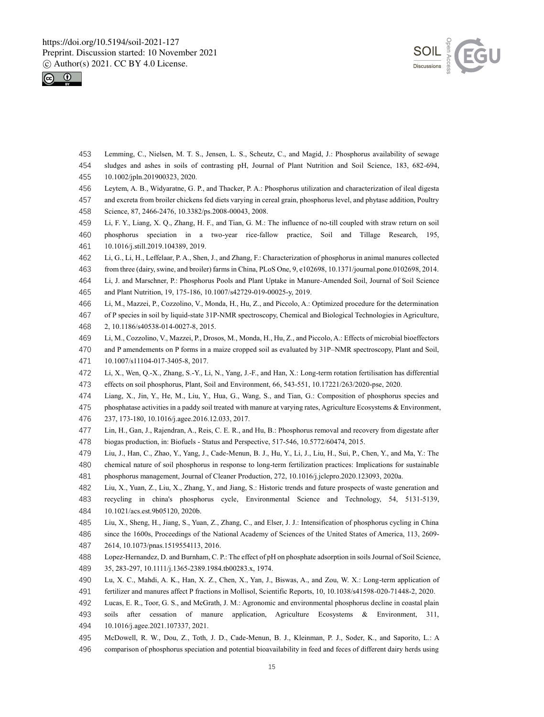



- Lemming, C., Nielsen, M. T. S., Jensen, L. S., Scheutz, C., and Magid, J.: Phosphorus availability of sewage sludges and ashes in soils of contrasting pH, Journal of Plant Nutrition and Soil Science, 183, 682-694, 10.1002/jpln.201900323, 2020.
- Leytem, A. B., Widyaratne, G. P., and Thacker, P. A.: Phosphorus utilization and characterization of ileal digesta
- and excreta from broiler chickens fed diets varying in cereal grain, phosphorus level, and phytase addition, Poultry
- Science, 87, 2466-2476, 10.3382/ps.2008-00043, 2008.
- Li, F. Y., Liang, X. Q., Zhang, H. F., and Tian, G. M.: The influence of no-till coupled with straw return on soil
- phosphorus speciation in a two-year rice-fallow practice, Soil and Tillage Research, 195, 10.1016/j.still.2019.104389, 2019.
- Li, G., Li, H., Leffelaar, P. A., Shen, J., and Zhang, F.: Characterization of phosphorus in animal manures collected
- from three (dairy, swine, and broiler) farms in China, PLoS One, 9, e102698, 10.1371/journal.pone.0102698, 2014.
- Li, J. and Marschner, P.: Phosphorus Pools and Plant Uptake in Manure-Amended Soil, Journal of Soil Science and Plant Nutrition, 19, 175-186, 10.1007/s42729-019-00025-y, 2019.
- Li, M., Mazzei, P., Cozzolino, V., Monda, H., Hu, Z., and Piccolo, A.: Optimized procedure for the determination
- of P species in soil by liquid-state 31P-NMR spectroscopy, Chemical and Biological Technologies in Agriculture, 2, 10.1186/s40538-014-0027-8, 2015.
- Li, M., Cozzolino, V., Mazzei, P., Drosos, M., Monda, H., Hu, Z., and Piccolo, A.: Effects of microbial bioeffectors
- and P amendements on P forms in a maize cropped soil as evaluated by 31P–NMR spectroscopy, Plant and Soil,
- 10.1007/s11104-017-3405-8, 2017.
- Li, X., Wen, Q.-X., Zhang, S.-Y., Li, N., Yang, J.-F., and Han, X.: Long-term rotation fertilisation has differential
- effects on soil phosphorus, Plant, Soil and Environment, 66, 543-551, 10.17221/263/2020-pse, 2020.
- Liang, X., Jin, Y., He, M., Liu, Y., Hua, G., Wang, S., and Tian, G.: Composition of phosphorus species and phosphatase activities in a paddy soil treated with manure at varying rates, Agriculture Ecosystems & Environment, 237, 173-180, 10.1016/j.agee.2016.12.033, 2017.
- Lin, H., Gan, J., Rajendran, A., Reis, C. E. R., and Hu, B.: Phosphorus removal and recovery from digestate after biogas production, in: Biofuels - Status and Perspective, 517-546, 10.5772/60474, 2015.
- Liu, J., Han, C., Zhao, Y., Yang, J., Cade-Menun, B. J., Hu, Y., Li, J., Liu, H., Sui, P., Chen, Y., and Ma, Y.: The chemical nature of soil phosphorus in response to long-term fertilization practices: Implications for sustainable
- phosphorus management, Journal of Cleaner Production, 272, 10.1016/j.jclepro.2020.123093, 2020a.
- Liu, X., Yuan, Z., Liu, X., Zhang, Y., and Jiang, S.: Historic trends and future prospects of waste generation and recycling in china's phosphorus cycle, Environmental Science and Technology, 54, 5131-5139, 10.1021/acs.est.9b05120, 2020b.
- Liu, X., Sheng, H., Jiang, S., Yuan, Z., Zhang, C., and Elser, J. J.: Intensification of phosphorus cycling in China
- since the 1600s, Proceedings of the National Academy of Sciences of the United States of America, 113, 2609- 2614, 10.1073/pnas.1519554113, 2016.
- Lopez-Hernandez, D. and Burnham, C. P.: The effect of pH on phosphate adsorption in soils Journal of Soil Science, 35, 283-297, 10.1111/j.1365-2389.1984.tb00283.x, 1974.
- Lu, X. C., Mahdi, A. K., Han, X. Z., Chen, X., Yan, J., Biswas, A., and Zou, W. X.: Long-term application of
- fertilizer and manures affect P fractions in Mollisol, Scientific Reports, 10, 10.1038/s41598-020-71448-2, 2020.
- Lucas, E. R., Toor, G. S., and McGrath, J. M.: Agronomic and environmental phosphorus decline in coastal plain
- soils after cessation of manure application, Agriculture Ecosystems & Environment, 311, 10.1016/j.agee.2021.107337, 2021.
- McDowell, R. W., Dou, Z., Toth, J. D., Cade-Menun, B. J., Kleinman, P. J., Soder, K., and Saporito, L.: A
- comparison of phosphorus speciation and potential bioavailability in feed and feces of different dairy herds using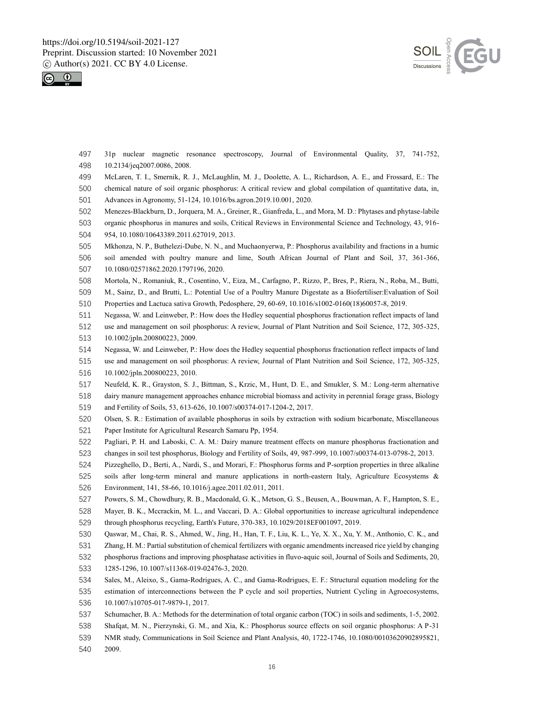



 31p nuclear magnetic resonance spectroscopy, Journal of Environmental Quality, 37, 741-752, 10.2134/jeq2007.0086, 2008.

- McLaren, T. I., Smernik, R. J., McLaughlin, M. J., Doolette, A. L., Richardson, A. E., and Frossard, E.: The
- chemical nature of soil organic phosphorus: A critical review and global compilation of quantitative data, in, Advances in Agronomy, 51-124, 10.1016/bs.agron.2019.10.001, 2020.
- Menezes-Blackburn, D., Jorquera, M. A., Greiner, R., Gianfreda, L., and Mora, M. D.: Phytases and phytase-labile
- organic phosphorus in manures and soils, Critical Reviews in Environmental Science and Technology, 43, 916- 954, 10.1080/10643389.2011.627019, 2013.
- Mkhonza, N. P., Buthelezi-Dube, N. N., and Muchaonyerwa, P.: Phosphorus availability and fractions in a humic soil amended with poultry manure and lime, South African Journal of Plant and Soil, 37, 361-366, 10.1080/02571862.2020.1797196, 2020.
- Mortola, N., Romaniuk, R., Cosentino, V., Eiza, M., Carfagno, P., Rizzo, P., Bres, P., Riera, N., Roba, M., Butti,
- M., Sainz, D., and Brutti, L.: Potential Use of a Poultry Manure Digestate as a Biofertiliser:Evaluation of Soil Properties and Lactuca sativa Growth, Pedosphere, 29, 60-69, 10.1016/s1002-0160(18)60057-8, 2019.
- Negassa, W. and Leinweber, P.: How does the Hedley sequential phosphorus fractionation reflect impacts of land
- use and management on soil phosphorus: A review, Journal of Plant Nutrition and Soil Science, 172, 305-325, 10.1002/jpln.200800223, 2009.
- Negassa, W. and Leinweber, P.: How does the Hedley sequential phosphorus fractionation reflect impacts of land
- use and management on soil phosphorus: A review, Journal of Plant Nutrition and Soil Science, 172, 305-325, 10.1002/jpln.200800223, 2010.
- Neufeld, K. R., Grayston, S. J., Bittman, S., Krzic, M., Hunt, D. E., and Smukler, S. M.: Long-term alternative dairy manure management approaches enhance microbial biomass and activity in perennial forage grass, Biology and Fertility of Soils, 53, 613-626, 10.1007/s00374-017-1204-2, 2017.
- Olsen, S. R.: Estimation of available phosphorus in soils by extraction with sodium bicarbonate, Miscellaneous Paper Institute for Agricultural Research Samaru Pp, 1954.
- Pagliari, P. H. and Laboski, C. A. M.: Dairy manure treatment effects on manure phosphorus fractionation and changes in soil test phosphorus, Biology and Fertility of Soils, 49, 987-999, 10.1007/s00374-013-0798-2, 2013.
- Pizzeghello, D., Berti, A., Nardi, S., and Morari, F.: Phosphorus forms and P-sorption properties in three alkaline
- soils after long-term mineral and manure applications in north-eastern Italy, Agriculture Ecosystems & Environment, 141, 58-66, 10.1016/j.agee.2011.02.011, 2011.
- Powers, S. M., Chowdhury, R. B., Macdonald, G. K., Metson, G. S., Beusen, A., Bouwman, A. F., Hampton, S. E.,
- Mayer, B. K., Mccrackin, M. L., and Vaccari, D. A.: Global opportunities to increase agricultural independence through phosphorus recycling, Earth's Future, 370-383, 10.1029/2018EF001097, 2019.
- Qaswar, M., Chai, R. S., Ahmed, W., Jing, H., Han, T. F., Liu, K. L., Ye, X. X., Xu, Y. M., Anthonio, C. K., and
- Zhang, H. M.: Partial substitution of chemical fertilizers with organic amendments increased rice yield by changing
- phosphorus fractions and improving phosphatase activities in fluvo-aquic soil, Journal of Soils and Sediments, 20, 1285-1296, 10.1007/s11368-019-02476-3, 2020.
- Sales, M., Aleixo, S., Gama-Rodrigues, A. C., and Gama-Rodrigues, E. F.: Structural equation modeling for the
- estimation of interconnections between the P cycle and soil properties, Nutrient Cycling in Agroecosystems,
- 10.1007/s10705-017-9879-1, 2017.
- Schumacher, B. A.: Methods for the determination of total organic carbon (TOC) in soils and sediments, 1-5, 2002.
- Shafqat, M. N., Pierzynski, G. M., and Xia, K.: Phosphorus source effects on soil organic phosphorus: A P-31
- NMR study, Communications in Soil Science and Plant Analysis, 40, 1722-1746, 10.1080/00103620902895821,
- 2009.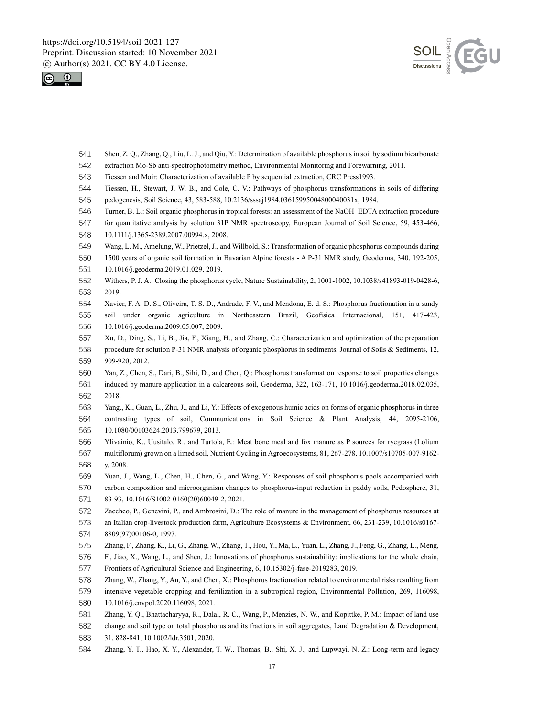



- Shen, Z. Q., Zhang, Q., Liu, L. J., and Qiu, Y.: Determination of available phosphorus in soil by sodium bicarbonate
- extraction Mo-Sb anti-spectrophotometry method, Environmental Monitoring and Forewarning, 2011.
- Tiessen and Moir: Characterization of available P by sequential extraction, CRC Press1993.
- Tiessen, H., Stewart, J. W. B., and Cole, C. V.: Pathways of phosphorus transformations in soils of differing
- pedogenesis, Soil Science, 43, 583-588, 10.2136/sssaj1984.03615995004800040031x, 1984.
- Turner, B. L.: Soil organic phosphorus in tropical forests: an assessment of the NaOH–EDTA extraction procedure
- for quantitative analysis by solution 31P NMR spectroscopy, European Journal of Soil Science, 59, 453-466,
- 10.1111/j.1365-2389.2007.00994.x, 2008.
- Wang, L. M., Amelung, W., Prietzel, J., and Willbold, S.: Transformation of organic phosphorus compounds during
- 1500 years of organic soil formation in Bavarian Alpine forests A P-31 NMR study, Geoderma, 340, 192-205,
- 10.1016/j.geoderma.2019.01.029, 2019.
- Withers, P. J. A.: Closing the phosphorus cycle, Nature Sustainability, 2, 1001-1002, 10.1038/s41893-019-0428-6, 2019.
- Xavier, F. A. D. S., Oliveira, T. S. D., Andrade, F. V., and Mendona, E. d. S.: Phosphorus fractionation in a sandy soil under organic agriculture in Northeastern Brazil, Geofisica Internacional, 151, 417-423, 10.1016/j.geoderma.2009.05.007, 2009.
- Xu, D., Ding, S., Li, B., Jia, F., Xiang, H., and Zhang, C.: Characterization and optimization of the preparation procedure for solution P-31 NMR analysis of organic phosphorus in sediments, Journal of Soils & Sediments, 12, 909-920, 2012.
- Yan, Z., Chen, S., Dari, B., Sihi, D., and Chen, Q.: Phosphorus transformation response to soil properties changes
- induced by manure application in a calcareous soil, Geoderma, 322, 163-171, 10.1016/j.geoderma.2018.02.035, 2018.
- Yang., K., Guan, L., Zhu, J., and Li, Y.: Effects of exogenous humic acids on forms of organic phosphorus in three contrasting types of soil, Communications in Soil Science & Plant Analysis, 44, 2095-2106, 10.1080/00103624.2013.799679, 2013.
- Ylivainio, K., Uusitalo, R., and Turtola, E.: Meat bone meal and fox manure as P sources for ryegrass (Lolium multiflorum) grown on a limed soil, Nutrient Cycling in Agroecosystems, 81, 267-278, 10.1007/s10705-007-9162- y, 2008.
- Yuan, J., Wang, L., Chen, H., Chen, G., and Wang, Y.: Responses of soil phosphorus pools accompanied with
- carbon composition and microorganism changes to phosphorus-input reduction in paddy soils, Pedosphere, 31, 83-93, 10.1016/S1002-0160(20)60049-2, 2021.
- Zaccheo, P., Genevini, P., and Ambrosini, D.: The role of manure in the management of phosphorus resources at an Italian crop-livestock production farm, Agriculture Ecosystems & Environment, 66, 231-239, 10.1016/s0167- 8809(97)00106-0, 1997.
- Zhang, F., Zhang, K., Li, G., Zhang, W., Zhang, T., Hou, Y., Ma, L., Yuan, L., Zhang, J., Feng, G., Zhang, L., Meng,
- F., Jiao, X., Wang, L., and Shen, J.: Innovations of phosphorus sustainability: implications for the whole chain, Frontiers of Agricultural Science and Engineering, 6, 10.15302/j-fase-2019283, 2019.
- Zhang, W., Zhang, Y., An, Y., and Chen, X.: Phosphorus fractionation related to environmental risks resulting from
- intensive vegetable cropping and fertilization in a subtropical region, Environmental Pollution, 269, 116098,
- 10.1016/j.envpol.2020.116098, 2021.
- Zhang, Y. Q., Bhattacharyya, R., Dalal, R. C., Wang, P., Menzies, N. W., and Kopittke, P. M.: Impact of land use
- change and soil type on total phosphorus and its fractions in soil aggregates, Land Degradation & Development,
- 31, 828-841, 10.1002/ldr.3501, 2020.
- Zhang, Y. T., Hao, X. Y., Alexander, T. W., Thomas, B., Shi, X. J., and Lupwayi, N. Z.: Long-term and legacy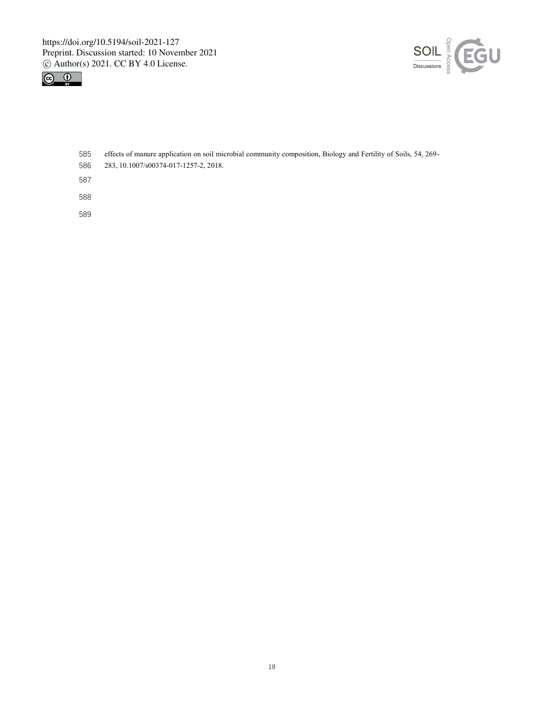



- effects of manure application on soil microbial community composition, Biology and Fertility of Soils, 54, 269-
- 283, 10.1007/s00374-017-1257-2, 2018.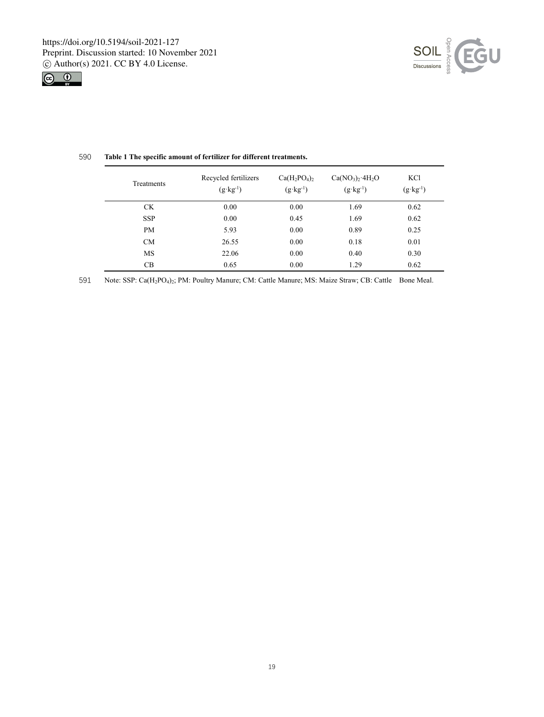



| Treatments | Recycled fertilizers<br>$(g \cdot kg^{-1})$ | $Ca(H_2PO_4)_2$<br>$(g \cdot kg^{-1})$ | $Ca(NO3)2·4H2O$<br>$(g \cdot kg^{-1})$ | KC <sub>1</sub><br>$(g \cdot kg^{-1})$ |
|------------|---------------------------------------------|----------------------------------------|----------------------------------------|----------------------------------------|
| <b>CK</b>  | 0.00                                        | 0.00                                   | 1.69                                   | 0.62                                   |
| <b>SSP</b> | 0.00                                        | 0.45                                   | 1.69                                   | 0.62                                   |
| <b>PM</b>  | 5.93                                        | 0.00                                   | 0.89                                   | 0.25                                   |
| CM         | 26.55                                       | 0.00                                   | 0.18                                   | 0.01                                   |
| <b>MS</b>  | 22.06                                       | 0.00                                   | 0.40                                   | 0.30                                   |
| CB         | 0.65                                        | 0.00                                   | 1.29                                   | 0.62                                   |

# 590 **Table 1 The specific amount of fertilizer for different treatments.**

591 Note: SSP: Ca(H2PO4)2; PM: Poultry Manure; CM: Cattle Manure; MS: Maize Straw; CB: Cattle Bone Meal.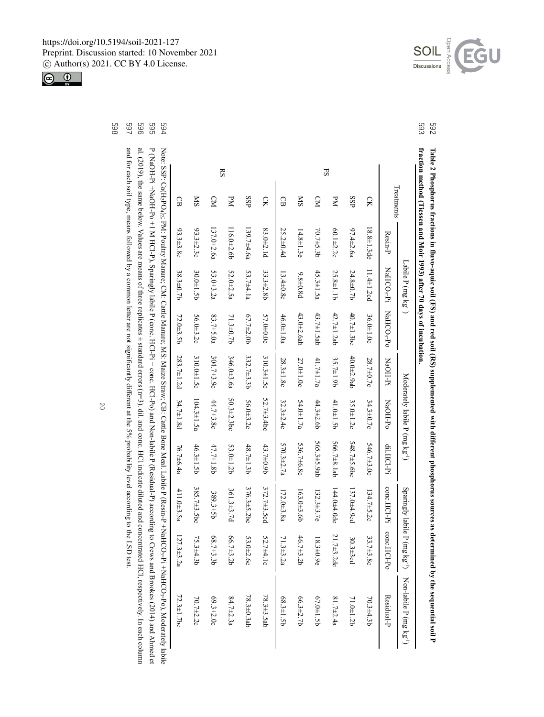Open Access  $\underbrace{\text{SOL}}_{\text{Discussions}}$ EGU

> 592<br>593 **fraction method (Tiessen and Moir 1993) after 70 days of incubation.** 593 .<br>Soil P **5922 Proper Sources as determined to several proper solutions and the sequence of the Soil CFS (AF) and the Soil CFS (AF) and the sequence of proper sequences as determined by the sequence of proper sequences as** fraction method (Tiessen and Moir 1993) after 70 days of incubation. Table 2 Phosphorus fractions in fluvo-aquic soil (FS) and red soil (RS) supplemented with different phosphorus sources as determined by the sequential soil P **Table 2 Phosphorus fractions in fluvo-aquic soil (FS) and red soil (RS) supplemented with different phosphorus sources as determined by the**

|            |                   |                     |            |                                                                                  |                   |                |                                            | (1.5)            | Non-labile P (mg kg <sup>-1</sup> )                                                                                                                                                                                                                                                                                                                                                                                     |
|------------|-------------------|---------------------|------------|----------------------------------------------------------------------------------|-------------------|----------------|--------------------------------------------|------------------|-------------------------------------------------------------------------------------------------------------------------------------------------------------------------------------------------------------------------------------------------------------------------------------------------------------------------------------------------------------------------------------------------------------------------|
|            | Resin-P           |                     |            | NaOH-Pi                                                                          | NaOH-Po           | di.HCl-Pi      | conc.HCl-Pi                                | conc.HCl-Po      | Residual-P                                                                                                                                                                                                                                                                                                                                                                                                              |
| CK         | $18.8 \pm 1.3$ de | 11.4 $\pm$ 1.2 $cd$ | 36.0±1.0c  | 28.7±0.7c                                                                        | $34.3 \pm 0.7c$   | 546.7±3.0c     | $134.7 \pm 5.2c$                           | $33.7 \pm 3.8c$  | $70.3 \pm 4.3 b$                                                                                                                                                                                                                                                                                                                                                                                                        |
| SSP        | $97.4 \pm 2.6a$   | 24.8±0.7b           | 40.7±1.3bc | 40.0±2.9ab                                                                       | 35.0±1.2c         | 548.7±5.6bc    | 137.0±4.9cd                                | $30.3 + 3cd$     | 71.0±1.2b                                                                                                                                                                                                                                                                                                                                                                                                               |
| УN         | $60.1 \pm 2.2c$   | 25.8±1.1b           | 42.7±1.2ab | 35.7±1.9b                                                                        | 41.0±1.5b         | 566.7±8.1ab    | 144.0±4.0de                                | 21.7±3.2de       | $81.7 \pm 2.4a$                                                                                                                                                                                                                                                                                                                                                                                                         |
| $\sum$     | 70.7±5.3b         | 45.3±1.5a           | 43.7±1.5ab | 41.7±1.7a                                                                        | 44.3±2.6b         | 565.3±5.9ab    | $132.3\pm3.7e$                             | $18.3 \pm 0.9e$  | 67.0±1.5b                                                                                                                                                                                                                                                                                                                                                                                                               |
| <b>NIS</b> | $14.8 \pm 1.3e$   | $9.8 \pm 0.8d$      | 43.0±2.6ab | 27.0±1.0c                                                                        | 54.0±1.7a         | 536.7±6.8c     | 163.0±3.6b                                 | 46.7±3.2b        | 66.3±2.7b                                                                                                                                                                                                                                                                                                                                                                                                               |
| GB         | 25.2±0.4d         | $13.4 \pm 0.8c$     | 46.0±1.0a  | 28.3±1.8c                                                                        | $32.3 \pm 2.4c$   | $570.3\pm2.7a$ | 172.0±3.8a                                 | $71.3 \pm 3.2a$  | 68.3±1.5b                                                                                                                                                                                                                                                                                                                                                                                                               |
| R          | $83.0 \pm 2.1d$   | 33.3±2.8b           | 57.0±0.0c  | 310.3±1.5c                                                                       | 52.7±3.4bc        | 43.7±0.9b      | 372.7±3.5cd                                | 52.7±4.1c        | $78.3 \pm 3.5$ ab                                                                                                                                                                                                                                                                                                                                                                                                       |
| SSP        | $139.7\pm4.6a$    | 53.7±4.1a           | 67.7±2.0b  | 332.7±3.3b                                                                       | 56.0±3.2c         | 48.7±1.3b      | 376.3±5.2bc                                | 53.0±2.6c        | 78.3±0.3ab                                                                                                                                                                                                                                                                                                                                                                                                              |
| PМ         | 116.0±2.6b        | 52.0±2.5a           | 71.3±0.7b  | 346.0±3.6a                                                                       | $50.3 \pm 2.3$ bc | 53.0±1.2b      | 361.3±3.7d                                 | 66.7±3.2b        | $84.7 \pm 2.3a$                                                                                                                                                                                                                                                                                                                                                                                                         |
| $\Omega$   | $137.0\pm2.6a$    | $53.0 \pm 3.2a$     | 83.7±5.0a  | 304.7±3.9c                                                                       | $44.7\pm3.8c$     | 47.7±1.8b      | 389.3±5b                                   | 68.7±3.3b        | 69.3±2.0c                                                                                                                                                                                                                                                                                                                                                                                                               |
| <b>SM</b>  | $93.3 \pm 2.3$ c  | 30.0±1.5b           | 56.0±3.2c  | 310.0±1.5c                                                                       | $104.3 \pm 1.5a$  | 46.3±1.5b      | 385.7±3.5bc                                | 75.3±4.3b        | $70.7 \pm 2.2c$                                                                                                                                                                                                                                                                                                                                                                                                         |
| GB         | $93.3 \pm 3.8c$   | 38.3±0.7b           | 72.0±3.5b  | 283.7±1.2d                                                                       | 34.7±1.8d         | 76.7±6.4a      | 411.0±3.5a                                 | $127.3 \pm 3.2a$ | $72.3 \pm 1.7$ bc                                                                                                                                                                                                                                                                                                                                                                                                       |
|            |                   |                     |            |                                                                                  |                   |                |                                            |                  |                                                                                                                                                                                                                                                                                                                                                                                                                         |
|            | Treatments        |                     |            | Labile P (mg kg <sup>-1</sup> )<br>NaHCO <sub>3</sub> -Pi NaHCO <sub>3</sub> -Po |                   |                | Moderately labile P (mg kg <sup>-1</sup> ) |                  | P (NaOH-PI-HAOH-P) 2 IHCL-P), Sparingly labile P (conc. HCl-Pi + conc. HCl-Po) and Mon-labile P (Residual-P) according to Crews and Brookes (2014) and Abim<br>Note: SSD: Calch/And S.H.+ HYanGO3:+P- (Randa Xanne Xanne; NS): Najako Staze, CEO; Cattle Rone Neamle Nation, Calch (Resist-P-HYaHCO3:+P: O), Noteorately, Andro States (RS): Controllery, Andro States (RSP; Controllery, And<br>Sparingly labile P (mg |

P (NaOH-Pi +NaOH-Pi M HCl-P), Sparingly labile P (conc. HCl-Pi + conc. HCl-Pi + conc. HCl-Pi + conc. HCl-P), Sparingly according to Crews and Brookes (2014) and Ahmed et 59514) and Ahmed et 59514) and Ahmed et 59514) and A -Pois: SSB: Ca(H2PQ<sub>17</sub>; Poultry Manure; CM: Cattle Manure; Macke Straw; CB: Cattle Bone Meall. Labile P(Resiste), Manure; CM: Cattle Manure; Macker Straw; CB: Cattle Manure; Macker Straw; CB: Cattle Manure; Macker Straw;  $\frac{1}{2}$  abile hmed et

269<br>969<br>969<br>969 Values are means of three replicates ± standard errors (n=3). dil. and conc. HCl indicate diluted and concentrated HCl, respectively. In each column 596 al. (2019), the same below. Values are means of three replicates ± standard errors (n=3). dil. and conc. HCl indicate diluted and concentrated HCl, respectively. In each column al. (2019), the same below.

and for each soil type, means followed by a common letter are not significantly different at the 5% probability level according to the LSD test. and for each soil type, means followed by a common letter are not significantly different at the 5% probability level according to the LSD test.

https://doi.org/10.5194/soil-2021-127 Preprint. Discussion started: 10 November 2021 c Author(s) 2021. CC BY 4.0 License.

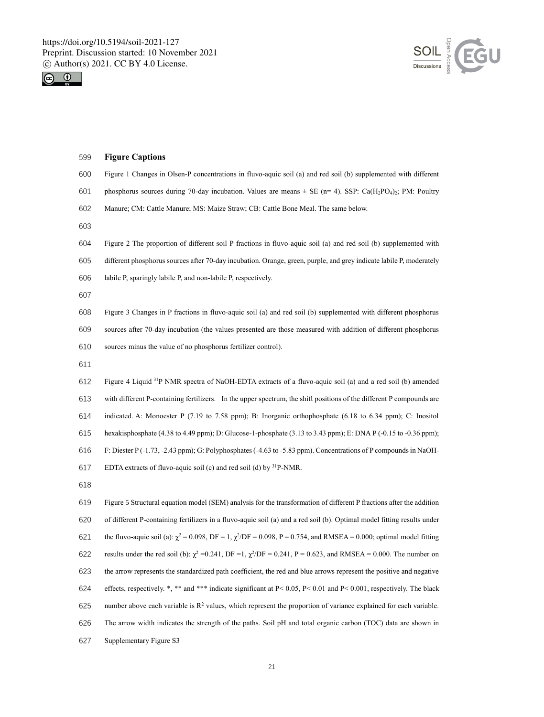



| 599 | <b>Figure Captions</b>                                                                                                                             |
|-----|----------------------------------------------------------------------------------------------------------------------------------------------------|
| 600 | Figure 1 Changes in Olsen-P concentrations in fluvo-aquic soil (a) and red soil (b) supplemented with different                                    |
| 601 | phosphorus sources during 70-day incubation. Values are means $\pm$ SE (n= 4). SSP: Ca(H <sub>2</sub> PO <sub>4</sub> ) <sub>2</sub> ; PM: Poultry |
| 602 | Manure; CM: Cattle Manure; MS: Maize Straw; CB: Cattle Bone Meal. The same below.                                                                  |
| 603 |                                                                                                                                                    |
| 604 | Figure 2 The proportion of different soil P fractions in fluvo-aquic soil (a) and red soil (b) supplemented with                                   |
| 605 | different phosphorus sources after 70-day incubation. Orange, green, purple, and grey indicate labile P, moderately                                |
| 606 | labile P, sparingly labile P, and non-labile P, respectively.                                                                                      |
| 607 |                                                                                                                                                    |
| 608 | Figure 3 Changes in P fractions in fluvo-aquic soil (a) and red soil (b) supplemented with different phosphorus                                    |
| 609 | sources after 70-day incubation (the values presented are those measured with addition of different phosphorus                                     |
| 610 | sources minus the value of no phosphorus fertilizer control).                                                                                      |
| 611 |                                                                                                                                                    |
| 612 | Figure 4 Liquid <sup>31</sup> P NMR spectra of NaOH-EDTA extracts of a fluvo-aquic soil (a) and a red soil (b) amended                             |
| 613 | with different P-containing fertilizers. In the upper spectrum, the shift positions of the different P compounds are                               |
| 614 | indicated. A: Monoester P (7.19 to 7.58 ppm); B: Inorganic orthophosphate (6.18 to 6.34 ppm); C: Inositol                                          |
| 615 | hexakisphosphate (4.38 to 4.49 ppm); D: Glucose-1-phosphate (3.13 to 3.43 ppm); E: DNA P (-0.15 to -0.36 ppm);                                     |
| 616 | F: Diester $P(-1.73, -2.43$ ppm); G: Polyphosphates $(-4.63$ to $-5.83$ ppm). Concentrations of P compounds in NaOH-                               |
| 617 | EDTA extracts of fluvo-aquic soil (c) and red soil (d) by $31P-NMR$ .                                                                              |
| 618 |                                                                                                                                                    |
| 619 | Figure 5 Structural equation model (SEM) analysis for the transformation of different P fractions after the addition                               |
| 620 | of different P-containing fertilizers in a fluvo-aquic soil (a) and a red soil (b). Optimal model fitting results under                            |
| 621 | the fluvo-aquic soil (a): $\chi^2 = 0.098$ , DF = 1, $\chi^2$ /DF = 0.098, P = 0.754, and RMSEA = 0.000; optimal model fitting                     |
| 622 | results under the red soil (b): $\chi^2$ =0.241, DF =1, $\chi^2$ /DF = 0.241, P = 0.623, and RMSEA = 0.000. The number on                          |
| 623 | the arrow represents the standardized path coefficient, the red and blue arrows represent the positive and negative                                |
| 624 | effects, respectively. *, ** and *** indicate significant at P< 0.05, P< 0.01 and P< 0.001, respectively. The black                                |
| 625 | number above each variable is $R^2$ values, which represent the proportion of variance explained for each variable.                                |
| 626 | The arrow width indicates the strength of the paths. Soil pH and total organic carbon (TOC) data are shown in                                      |
| 627 | Supplementary Figure S3                                                                                                                            |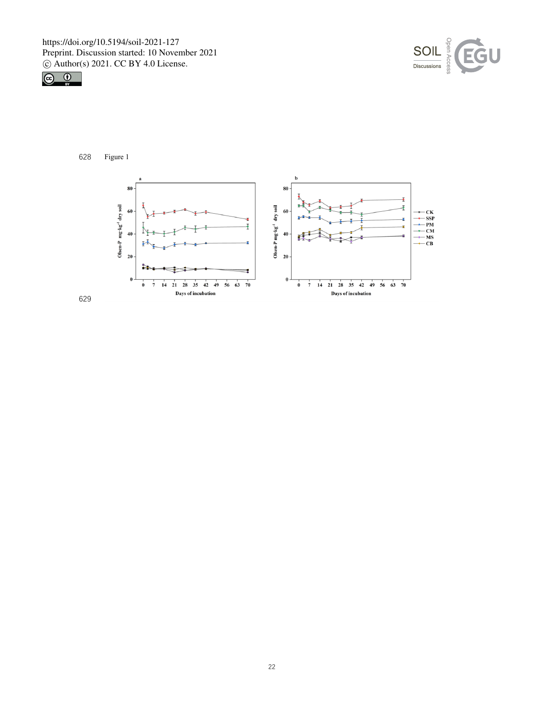





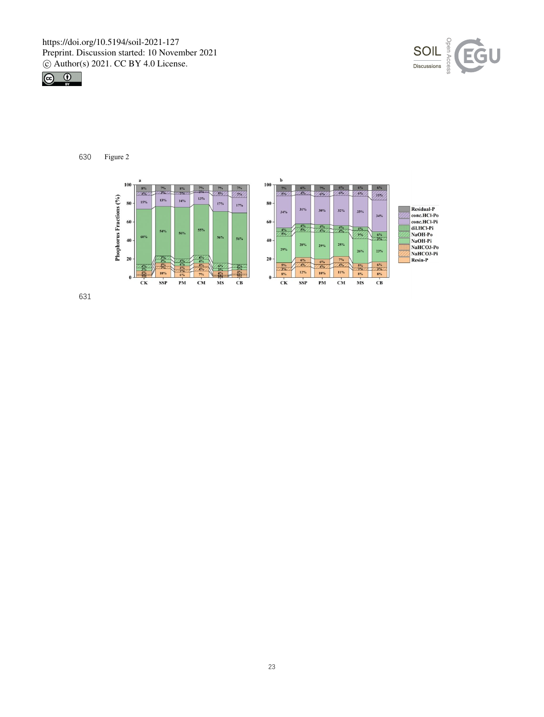



630 Figure 2

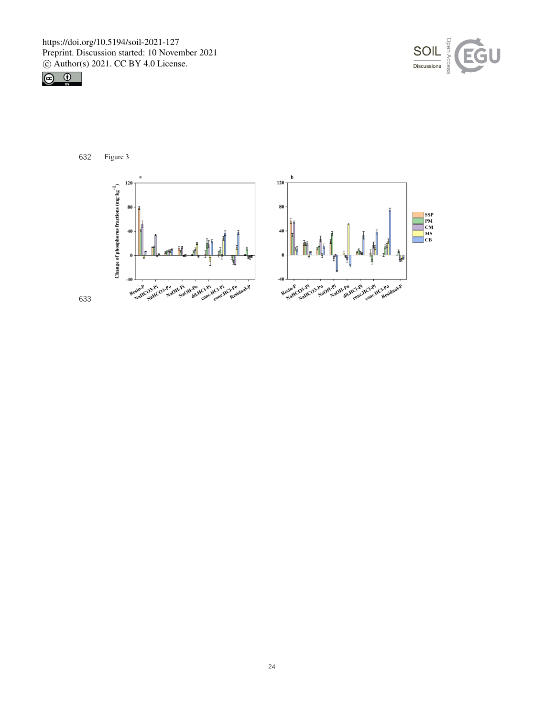





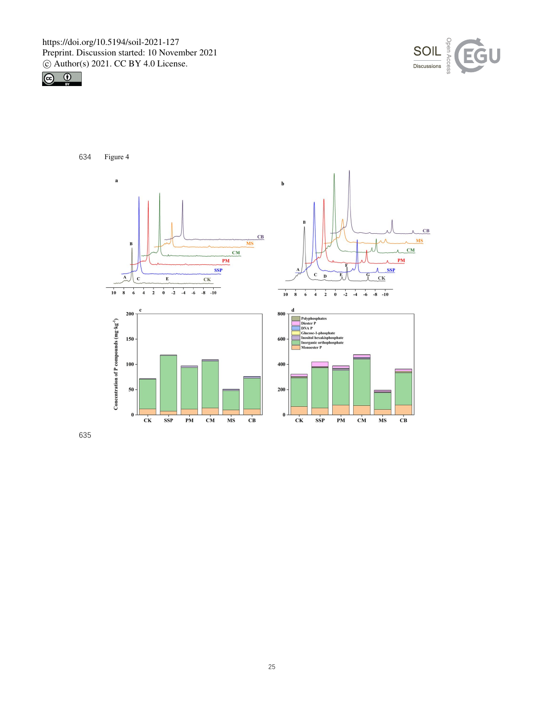